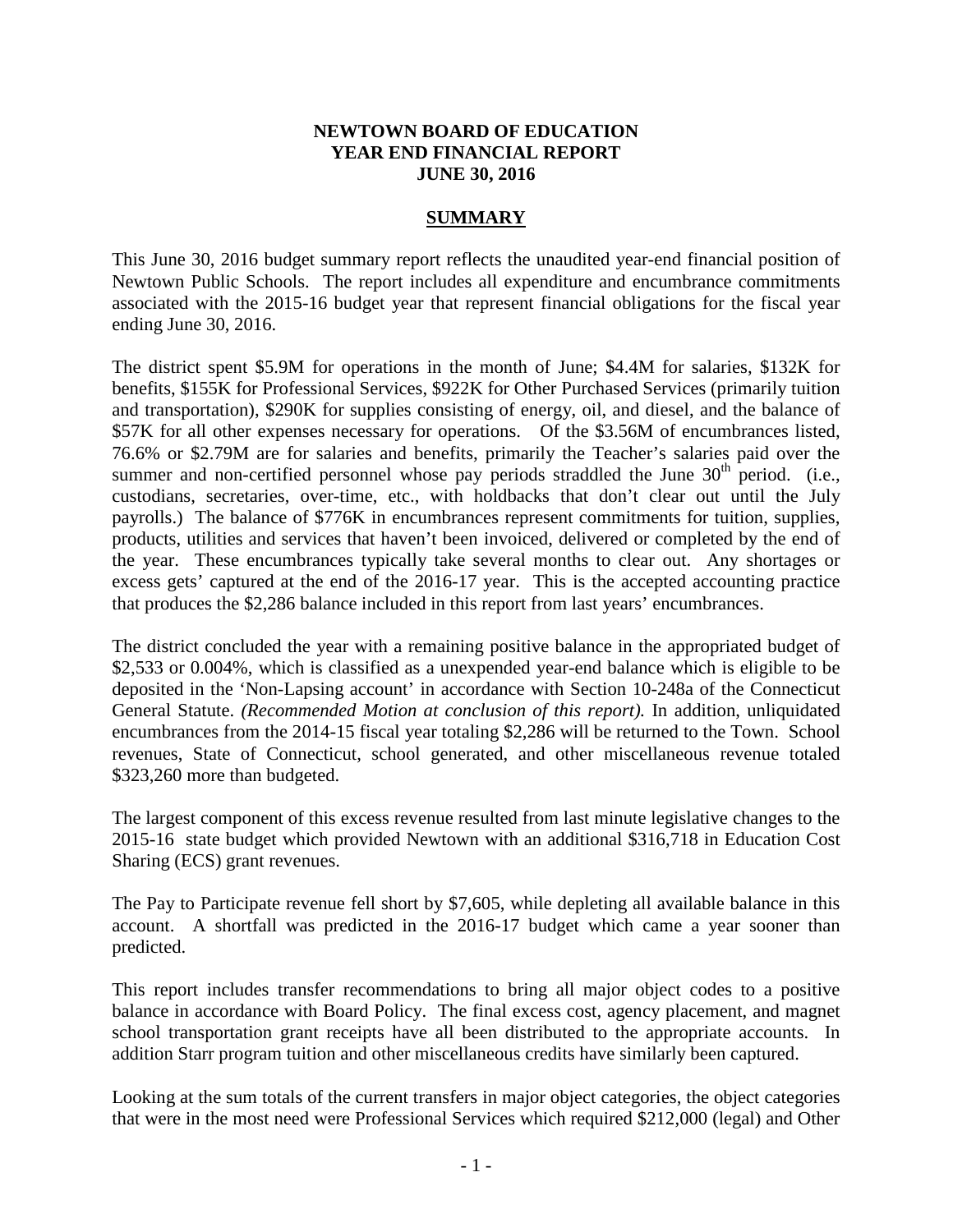#### **NEWTOWN BOARD OF EDUCATION YEAR END FINANCIAL REPORT JUNE 30, 2016**

#### **SUMMARY**

This June 30, 2016 budget summary report reflects the unaudited year-end financial position of Newtown Public Schools. The report includes all expenditure and encumbrance commitments associated with the 2015-16 budget year that represent financial obligations for the fiscal year ending June 30, 2016.

The district spent \$5.9M for operations in the month of June; \$4.4M for salaries, \$132K for benefits, \$155K for Professional Services, \$922K for Other Purchased Services (primarily tuition and transportation), \$290K for supplies consisting of energy, oil, and diesel, and the balance of \$57K for all other expenses necessary for operations. Of the \$3.56M of encumbrances listed, 76.6% or \$2.79M are for salaries and benefits, primarily the Teacher's salaries paid over the summer and non-certified personnel whose pay periods straddled the June  $30<sup>th</sup>$  period. (i.e., custodians, secretaries, over-time, etc., with holdbacks that don't clear out until the July payrolls.) The balance of \$776K in encumbrances represent commitments for tuition, supplies, products, utilities and services that haven't been invoiced, delivered or completed by the end of the year. These encumbrances typically take several months to clear out. Any shortages or excess gets' captured at the end of the 2016-17 year. This is the accepted accounting practice that produces the \$2,286 balance included in this report from last years' encumbrances.

The district concluded the year with a remaining positive balance in the appropriated budget of \$2,533 or 0.004%, which is classified as a unexpended year-end balance which is eligible to be deposited in the 'Non-Lapsing account' in accordance with Section 10-248a of the Connecticut General Statute. *(Recommended Motion at conclusion of this report).* In addition, unliquidated encumbrances from the 2014-15 fiscal year totaling \$2,286 will be returned to the Town. School revenues, State of Connecticut, school generated, and other miscellaneous revenue totaled \$323,260 more than budgeted.

The largest component of this excess revenue resulted from last minute legislative changes to the 2015-16 state budget which provided Newtown with an additional \$316,718 in Education Cost Sharing (ECS) grant revenues.

The Pay to Participate revenue fell short by \$7,605, while depleting all available balance in this account. A shortfall was predicted in the 2016-17 budget which came a year sooner than predicted.

This report includes transfer recommendations to bring all major object codes to a positive balance in accordance with Board Policy. The final excess cost, agency placement, and magnet school transportation grant receipts have all been distributed to the appropriate accounts. In addition Starr program tuition and other miscellaneous credits have similarly been captured.

Looking at the sum totals of the current transfers in major object categories, the object categories that were in the most need were Professional Services which required \$212,000 (legal) and Other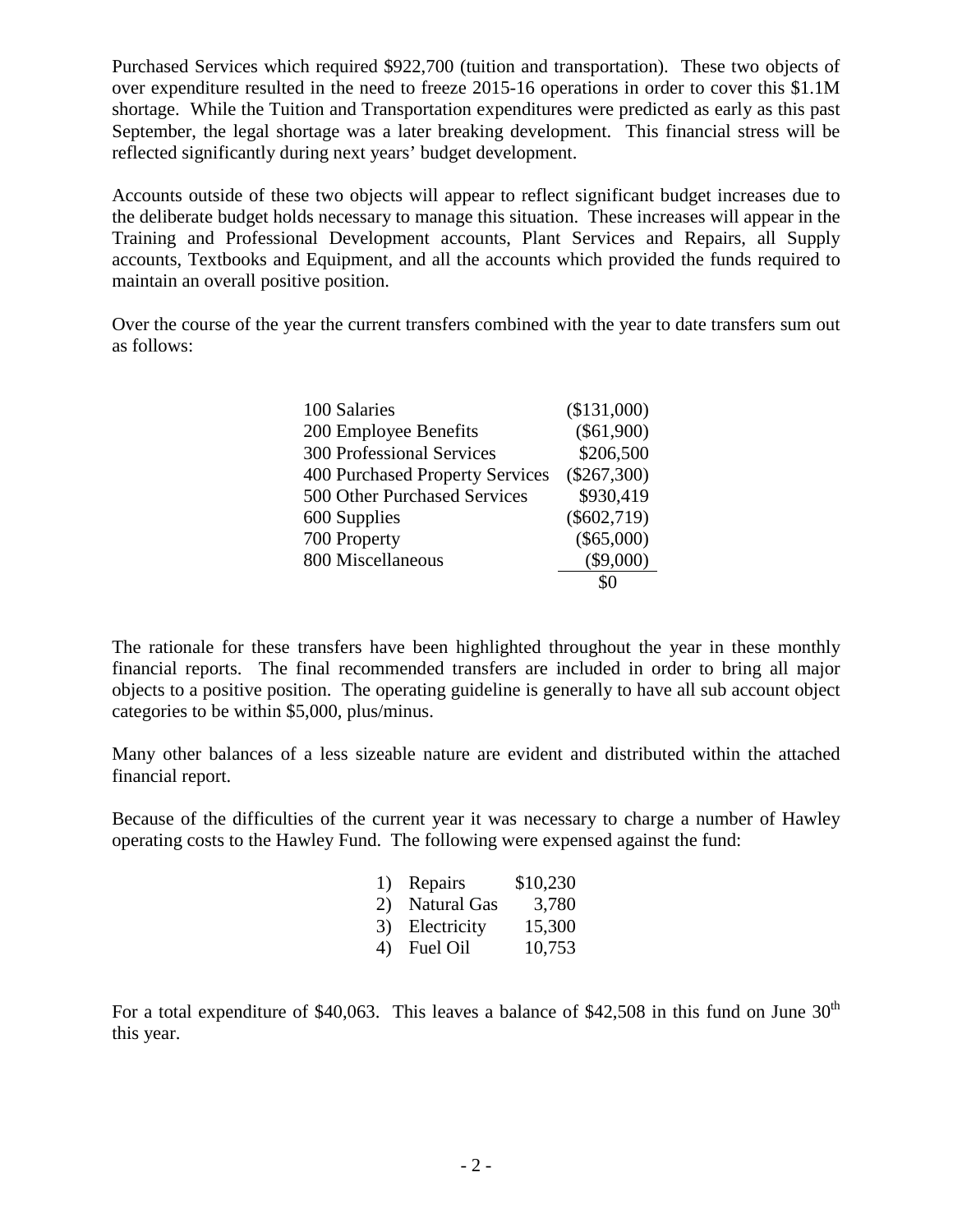Purchased Services which required \$922,700 (tuition and transportation). These two objects of over expenditure resulted in the need to freeze 2015-16 operations in order to cover this \$1.1M shortage. While the Tuition and Transportation expenditures were predicted as early as this past September, the legal shortage was a later breaking development. This financial stress will be reflected significantly during next years' budget development.

Accounts outside of these two objects will appear to reflect significant budget increases due to the deliberate budget holds necessary to manage this situation. These increases will appear in the Training and Professional Development accounts, Plant Services and Repairs, all Supply accounts, Textbooks and Equipment, and all the accounts which provided the funds required to maintain an overall positive position.

Over the course of the year the current transfers combined with the year to date transfers sum out as follows:

| 100 Salaries                     | (\$131,000)   |
|----------------------------------|---------------|
| 200 Employee Benefits            | $(\$61,900)$  |
| <b>300 Professional Services</b> | \$206,500     |
| 400 Purchased Property Services  | $(\$267,300)$ |
| 500 Other Purchased Services     | \$930,419     |
| 600 Supplies                     | $(\$602,719)$ |
| 700 Property                     | $(\$65,000)$  |
| 800 Miscellaneous                | $(\$9,000)$   |
|                                  |               |

The rationale for these transfers have been highlighted throughout the year in these monthly financial reports. The final recommended transfers are included in order to bring all major objects to a positive position. The operating guideline is generally to have all sub account object categories to be within \$5,000, plus/minus.

Many other balances of a less sizeable nature are evident and distributed within the attached financial report.

Because of the difficulties of the current year it was necessary to charge a number of Hawley operating costs to the Hawley Fund. The following were expensed against the fund:

| 1) Repairs     | \$10,230 |
|----------------|----------|
| 2) Natural Gas | 3,780    |
| 3) Electricity | 15,300   |
| 4) Fuel Oil    | 10,753   |

For a total expenditure of \$40,063. This leaves a balance of \$42,508 in this fund on June  $30<sup>th</sup>$ this year.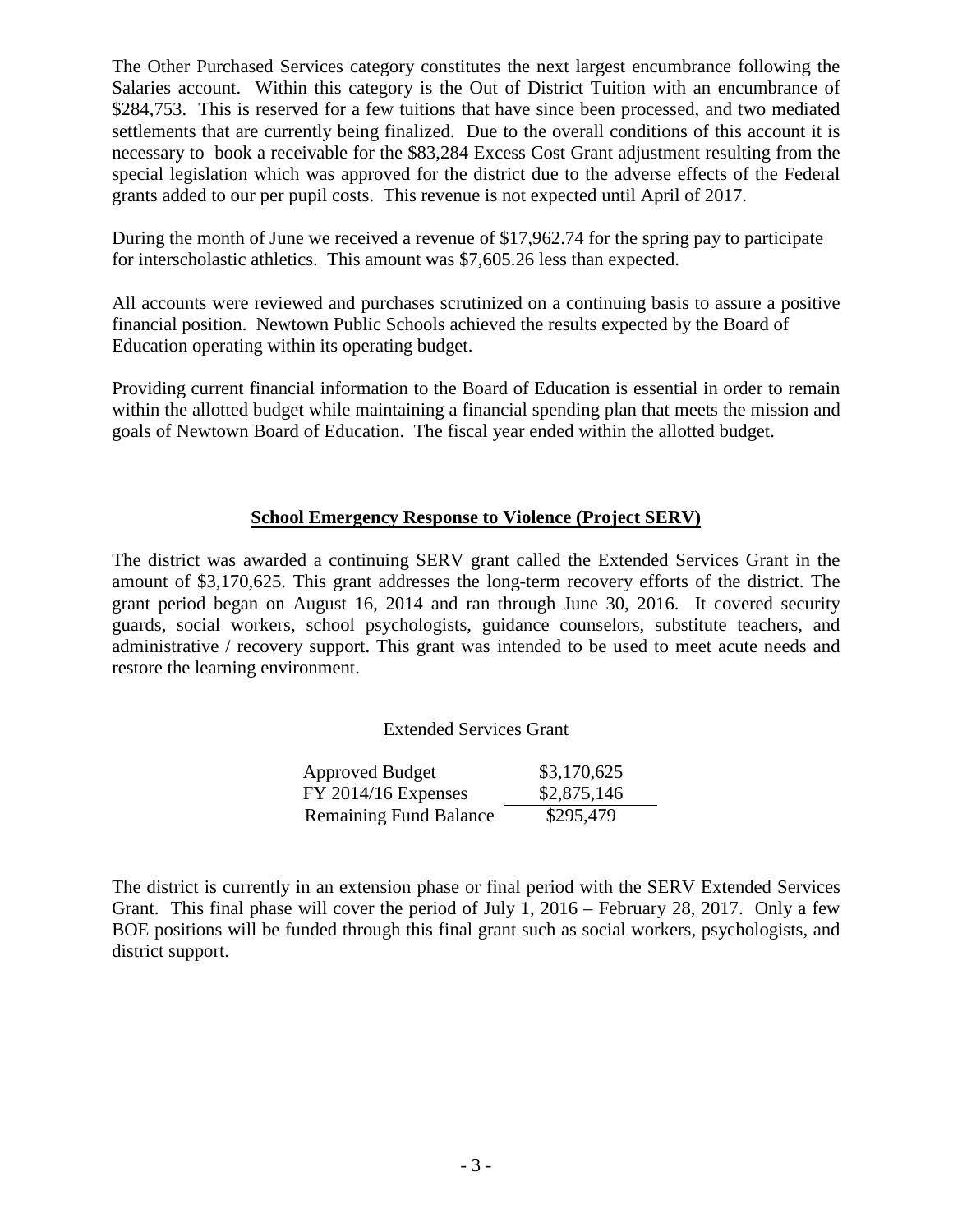The Other Purchased Services category constitutes the next largest encumbrance following the Salaries account. Within this category is the Out of District Tuition with an encumbrance of \$284,753. This is reserved for a few tuitions that have since been processed, and two mediated settlements that are currently being finalized. Due to the overall conditions of this account it is necessary to book a receivable for the \$83,284 Excess Cost Grant adjustment resulting from the special legislation which was approved for the district due to the adverse effects of the Federal grants added to our per pupil costs. This revenue is not expected until April of 2017.

During the month of June we received a revenue of \$17,962.74 for the spring pay to participate for interscholastic athletics. This amount was \$7,605.26 less than expected.

All accounts were reviewed and purchases scrutinized on a continuing basis to assure a positive financial position. Newtown Public Schools achieved the results expected by the Board of Education operating within its operating budget.

Providing current financial information to the Board of Education is essential in order to remain within the allotted budget while maintaining a financial spending plan that meets the mission and goals of Newtown Board of Education. The fiscal year ended within the allotted budget.

# **School Emergency Response to Violence (Project SERV)**

The district was awarded a continuing SERV grant called the Extended Services Grant in the amount of \$3,170,625. This grant addresses the long-term recovery efforts of the district. The grant period began on August 16, 2014 and ran through June 30, 2016. It covered security guards, social workers, school psychologists, guidance counselors, substitute teachers, and administrative / recovery support. This grant was intended to be used to meet acute needs and restore the learning environment.

# Extended Services Grant

| <b>Approved Budget</b>        | \$3,170,625 |
|-------------------------------|-------------|
| $FY$ 2014/16 Expenses         | \$2,875,146 |
| <b>Remaining Fund Balance</b> | \$295,479   |

The district is currently in an extension phase or final period with the SERV Extended Services Grant. This final phase will cover the period of July 1, 2016 – February 28, 2017. Only a few BOE positions will be funded through this final grant such as social workers, psychologists, and district support.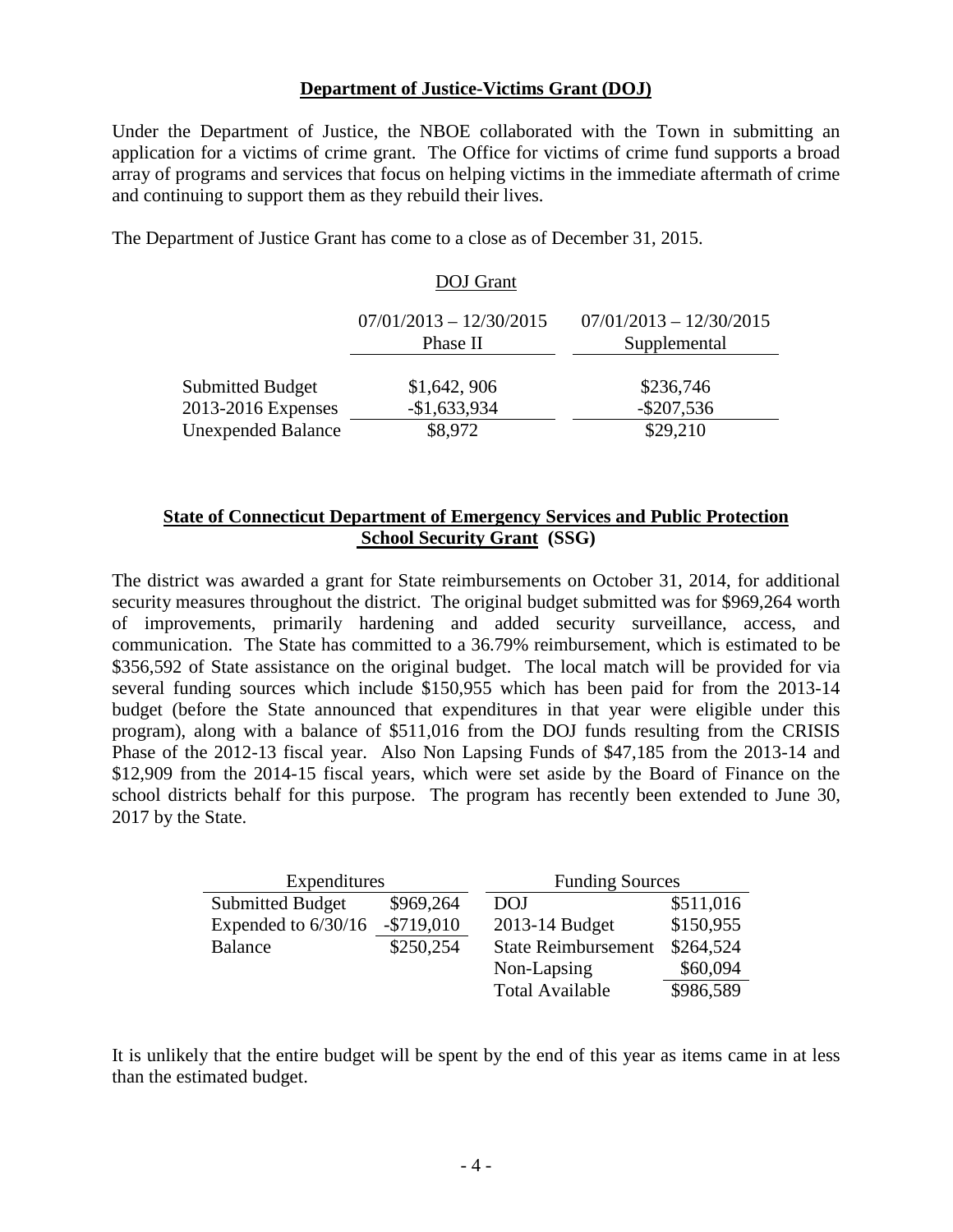### **Department of Justice-Victims Grant (DOJ)**

Under the Department of Justice, the NBOE collaborated with the Town in submitting an application for a victims of crime grant. The Office for victims of crime fund supports a broad array of programs and services that focus on helping victims in the immediate aftermath of crime and continuing to support them as they rebuild their lives.

The Department of Justice Grant has come to a close as of December 31, 2015.

#### DOJ Grant

|                           | $07/01/2013 - 12/30/2015$<br>Phase II | $07/01/2013 - 12/30/2015$<br>Supplemental |
|---------------------------|---------------------------------------|-------------------------------------------|
| <b>Submitted Budget</b>   | \$1,642, 906                          | \$236,746                                 |
| 2013-2016 Expenses        | $-$1,633,934$                         | $-$ \$207,536                             |
| <b>Unexpended Balance</b> | \$8,972                               | \$29,210                                  |

## **State of Connecticut Department of Emergency Services and Public Protection School Security Grant (SSG)**

The district was awarded a grant for State reimbursements on October 31, 2014, for additional security measures throughout the district. The original budget submitted was for \$969,264 worth of improvements, primarily hardening and added security surveillance, access, and communication. The State has committed to a 36.79% reimbursement, which is estimated to be \$356,592 of State assistance on the original budget. The local match will be provided for via several funding sources which include \$150,955 which has been paid for from the 2013-14 budget (before the State announced that expenditures in that year were eligible under this program), along with a balance of \$511,016 from the DOJ funds resulting from the CRISIS Phase of the 2012-13 fiscal year. Also Non Lapsing Funds of \$47,185 from the 2013-14 and \$12,909 from the 2014-15 fiscal years, which were set aside by the Board of Finance on the school districts behalf for this purpose. The program has recently been extended to June 30, 2017 by the State.

| Expenditures            |               | <b>Funding Sources</b>     |           |  |  |  |  |  |  |  |
|-------------------------|---------------|----------------------------|-----------|--|--|--|--|--|--|--|
| <b>Submitted Budget</b> | \$969,264     | <b>DOJ</b>                 | \$511,016 |  |  |  |  |  |  |  |
| Expended to $6/30/16$   | $-$ \$719,010 | 2013-14 Budget             | \$150,955 |  |  |  |  |  |  |  |
| <b>Balance</b>          | \$250,254     | <b>State Reimbursement</b> | \$264,524 |  |  |  |  |  |  |  |
|                         |               | Non-Lapsing                | \$60,094  |  |  |  |  |  |  |  |
|                         |               | <b>Total Available</b>     | \$986,589 |  |  |  |  |  |  |  |

It is unlikely that the entire budget will be spent by the end of this year as items came in at less than the estimated budget.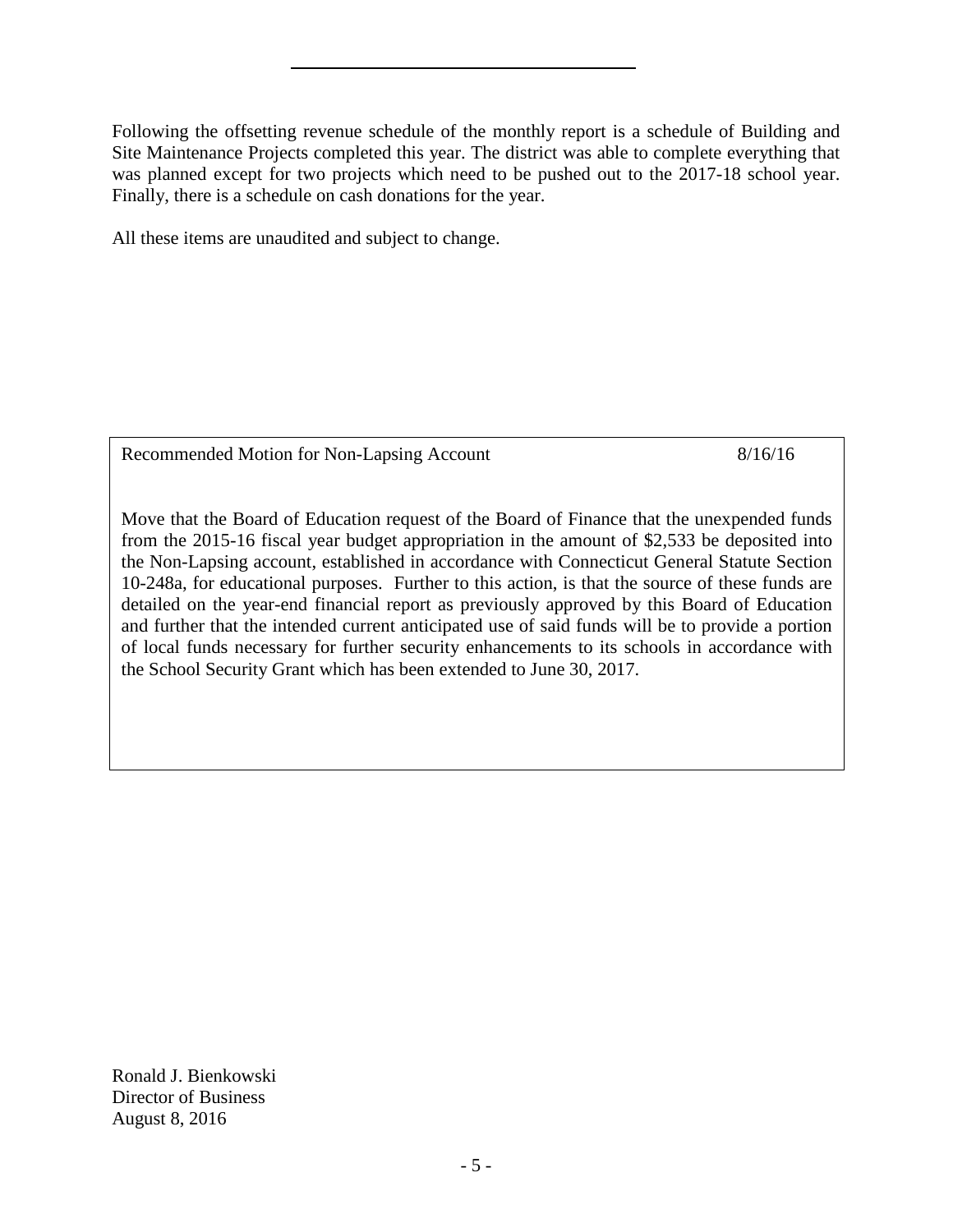Following the offsetting revenue schedule of the monthly report is a schedule of Building and Site Maintenance Projects completed this year. The district was able to complete everything that was planned except for two projects which need to be pushed out to the 2017-18 school year. Finally, there is a schedule on cash donations for the year.

All these items are unaudited and subject to change.

Recommended Motion for Non-Lapsing Account 8/16/16

Move that the Board of Education request of the Board of Finance that the unexpended funds from the 2015-16 fiscal year budget appropriation in the amount of \$2,533 be deposited into the Non-Lapsing account, established in accordance with Connecticut General Statute Section 10-248a, for educational purposes. Further to this action, is that the source of these funds are detailed on the year-end financial report as previously approved by this Board of Education and further that the intended current anticipated use of said funds will be to provide a portion of local funds necessary for further security enhancements to its schools in accordance with the School Security Grant which has been extended to June 30, 2017.

Ronald J. Bienkowski Director of Business August 8, 2016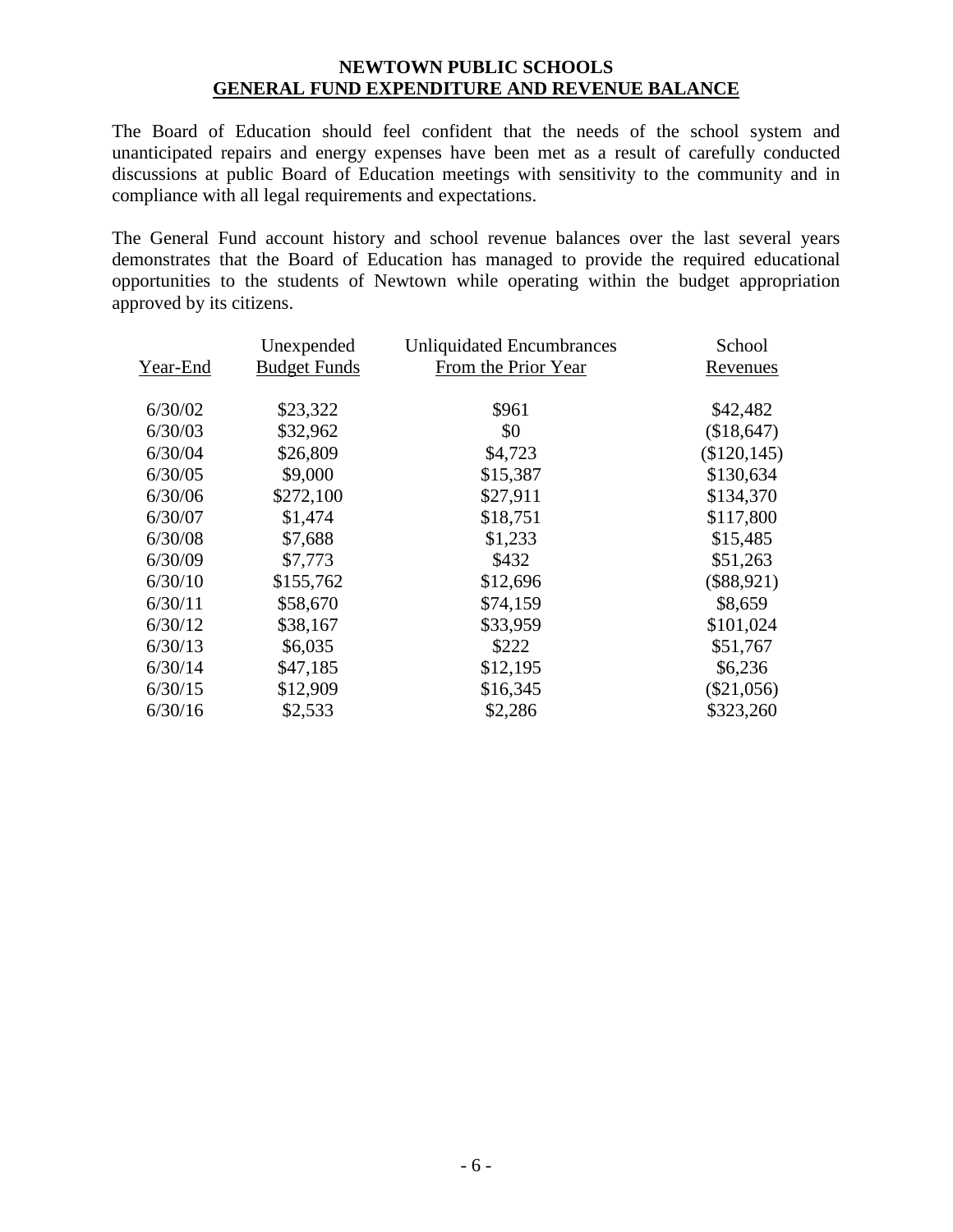## **NEWTOWN PUBLIC SCHOOLS GENERAL FUND EXPENDITURE AND REVENUE BALANCE**

The Board of Education should feel confident that the needs of the school system and unanticipated repairs and energy expenses have been met as a result of carefully conducted discussions at public Board of Education meetings with sensitivity to the community and in compliance with all legal requirements and expectations.

The General Fund account history and school revenue balances over the last several years demonstrates that the Board of Education has managed to provide the required educational opportunities to the students of Newtown while operating within the budget appropriation approved by its citizens.

|          | Unexpended          | <b>Unliquidated Encumbrances</b> | School       |
|----------|---------------------|----------------------------------|--------------|
| Year-End | <b>Budget Funds</b> | From the Prior Year              | Revenues     |
| 6/30/02  | \$23,322            | \$961                            | \$42,482     |
| 6/30/03  | \$32,962            | \$0                              | (\$18,647)   |
| 6/30/04  | \$26,809            | \$4,723                          | (\$120, 145) |
| 6/30/05  | \$9,000             | \$15,387                         | \$130,634    |
| 6/30/06  | \$272,100           | \$27,911                         | \$134,370    |
| 6/30/07  | \$1,474             | \$18,751                         | \$117,800    |
| 6/30/08  | \$7,688             | \$1,233                          | \$15,485     |
| 6/30/09  | \$7,773             | \$432                            | \$51,263     |
| 6/30/10  | \$155,762           | \$12,696                         | $(\$88,921)$ |
| 6/30/11  | \$58,670            | \$74,159                         | \$8,659      |
| 6/30/12  | \$38,167            | \$33,959                         | \$101,024    |
| 6/30/13  | \$6,035             | \$222                            | \$51,767     |
| 6/30/14  | \$47,185            | \$12,195                         | \$6,236      |
| 6/30/15  | \$12,909            | \$16,345                         | $(\$21,056)$ |
| 6/30/16  | \$2,533             | \$2,286                          | \$323,260    |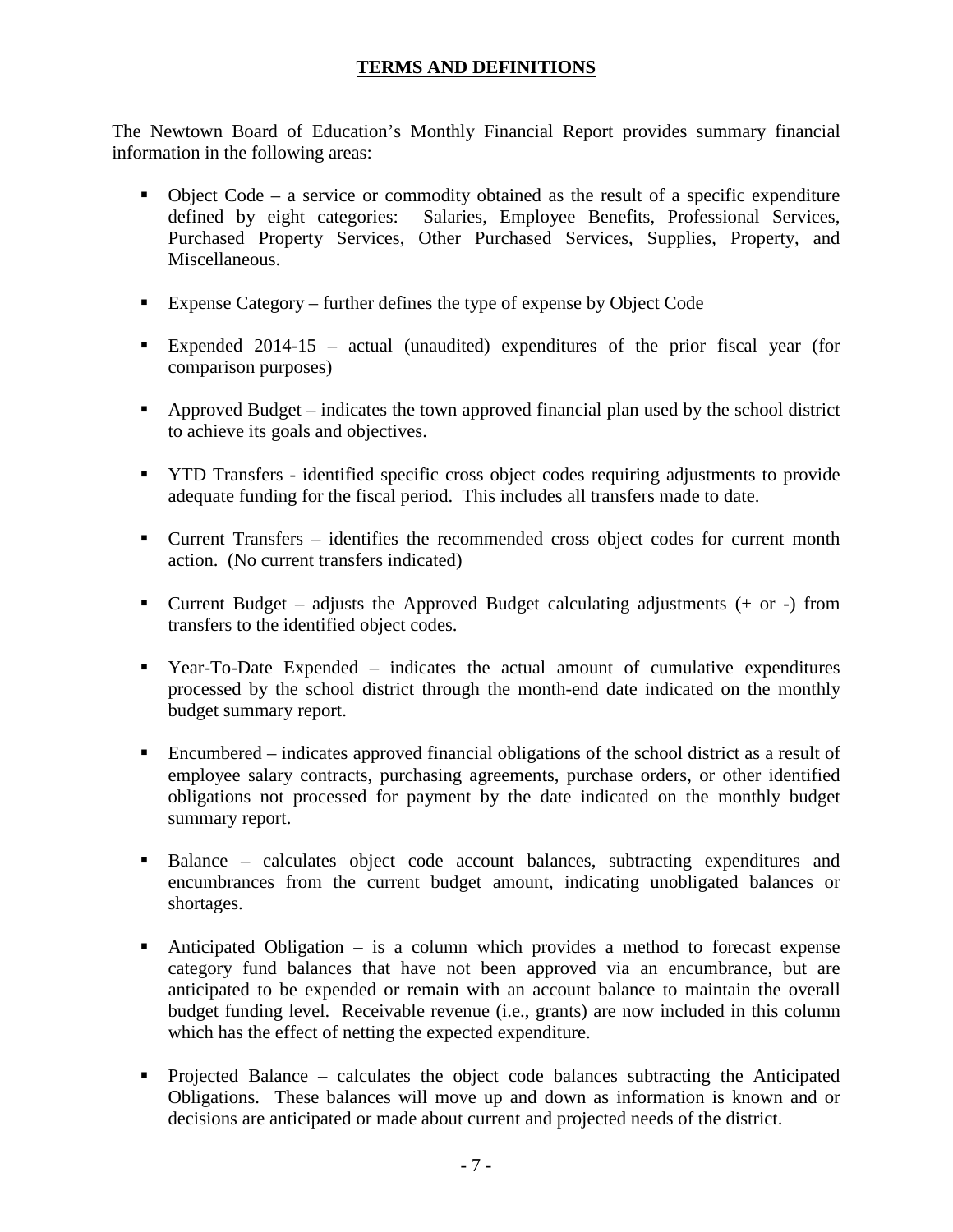# **TERMS AND DEFINITIONS**

The Newtown Board of Education's Monthly Financial Report provides summary financial information in the following areas:

- Object Code a service or commodity obtained as the result of a specific expenditure defined by eight categories: Salaries, Employee Benefits, Professional Services, Purchased Property Services, Other Purchased Services, Supplies, Property, and Miscellaneous.
- Expense Category further defines the type of expense by Object Code
- Expended 2014-15 actual (unaudited) expenditures of the prior fiscal year (for comparison purposes)
- Approved Budget indicates the town approved financial plan used by the school district to achieve its goals and objectives.
- YTD Transfers identified specific cross object codes requiring adjustments to provide adequate funding for the fiscal period. This includes all transfers made to date.
- Current Transfers identifies the recommended cross object codes for current month action. (No current transfers indicated)
- Current Budget adjusts the Approved Budget calculating adjustments (+ or -) from transfers to the identified object codes.
- Year-To-Date Expended indicates the actual amount of cumulative expenditures processed by the school district through the month-end date indicated on the monthly budget summary report.
- Encumbered indicates approved financial obligations of the school district as a result of employee salary contracts, purchasing agreements, purchase orders, or other identified obligations not processed for payment by the date indicated on the monthly budget summary report.
- Balance calculates object code account balances, subtracting expenditures and encumbrances from the current budget amount, indicating unobligated balances or shortages.
- Anticipated Obligation is a column which provides a method to forecast expense category fund balances that have not been approved via an encumbrance, but are anticipated to be expended or remain with an account balance to maintain the overall budget funding level. Receivable revenue (i.e., grants) are now included in this column which has the effect of netting the expected expenditure.
- Projected Balance calculates the object code balances subtracting the Anticipated Obligations. These balances will move up and down as information is known and or decisions are anticipated or made about current and projected needs of the district.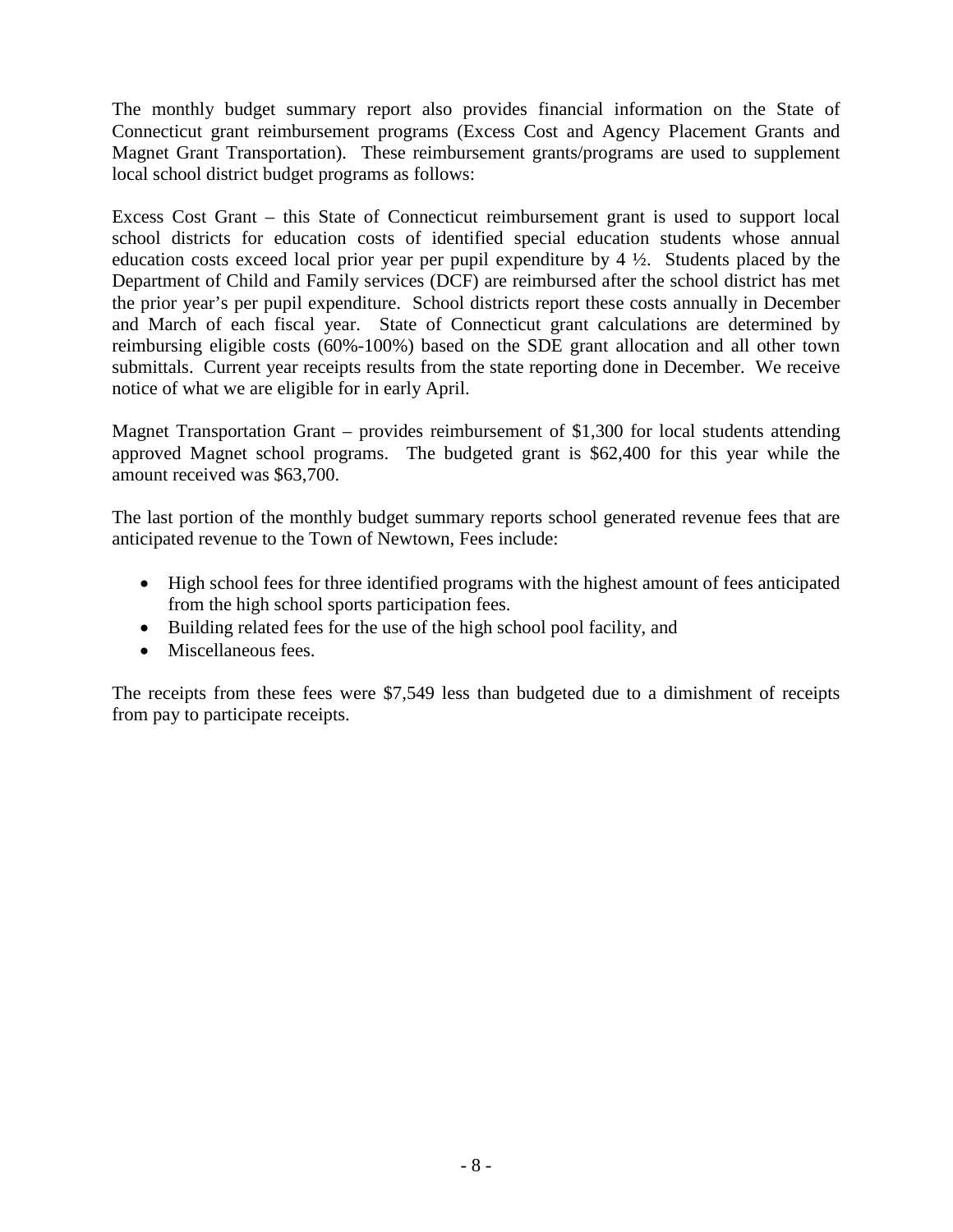The monthly budget summary report also provides financial information on the State of Connecticut grant reimbursement programs (Excess Cost and Agency Placement Grants and Magnet Grant Transportation). These reimbursement grants/programs are used to supplement local school district budget programs as follows:

Excess Cost Grant – this State of Connecticut reimbursement grant is used to support local school districts for education costs of identified special education students whose annual education costs exceed local prior year per pupil expenditure by 4 ½. Students placed by the Department of Child and Family services (DCF) are reimbursed after the school district has met the prior year's per pupil expenditure. School districts report these costs annually in December and March of each fiscal year. State of Connecticut grant calculations are determined by reimbursing eligible costs (60%-100%) based on the SDE grant allocation and all other town submittals. Current year receipts results from the state reporting done in December. We receive notice of what we are eligible for in early April.

Magnet Transportation Grant – provides reimbursement of \$1,300 for local students attending approved Magnet school programs. The budgeted grant is \$62,400 for this year while the amount received was \$63,700.

The last portion of the monthly budget summary reports school generated revenue fees that are anticipated revenue to the Town of Newtown, Fees include:

- High school fees for three identified programs with the highest amount of fees anticipated from the high school sports participation fees.
- Building related fees for the use of the high school pool facility, and
- Miscellaneous fees.

The receipts from these fees were \$7,549 less than budgeted due to a dimishment of receipts from pay to participate receipts.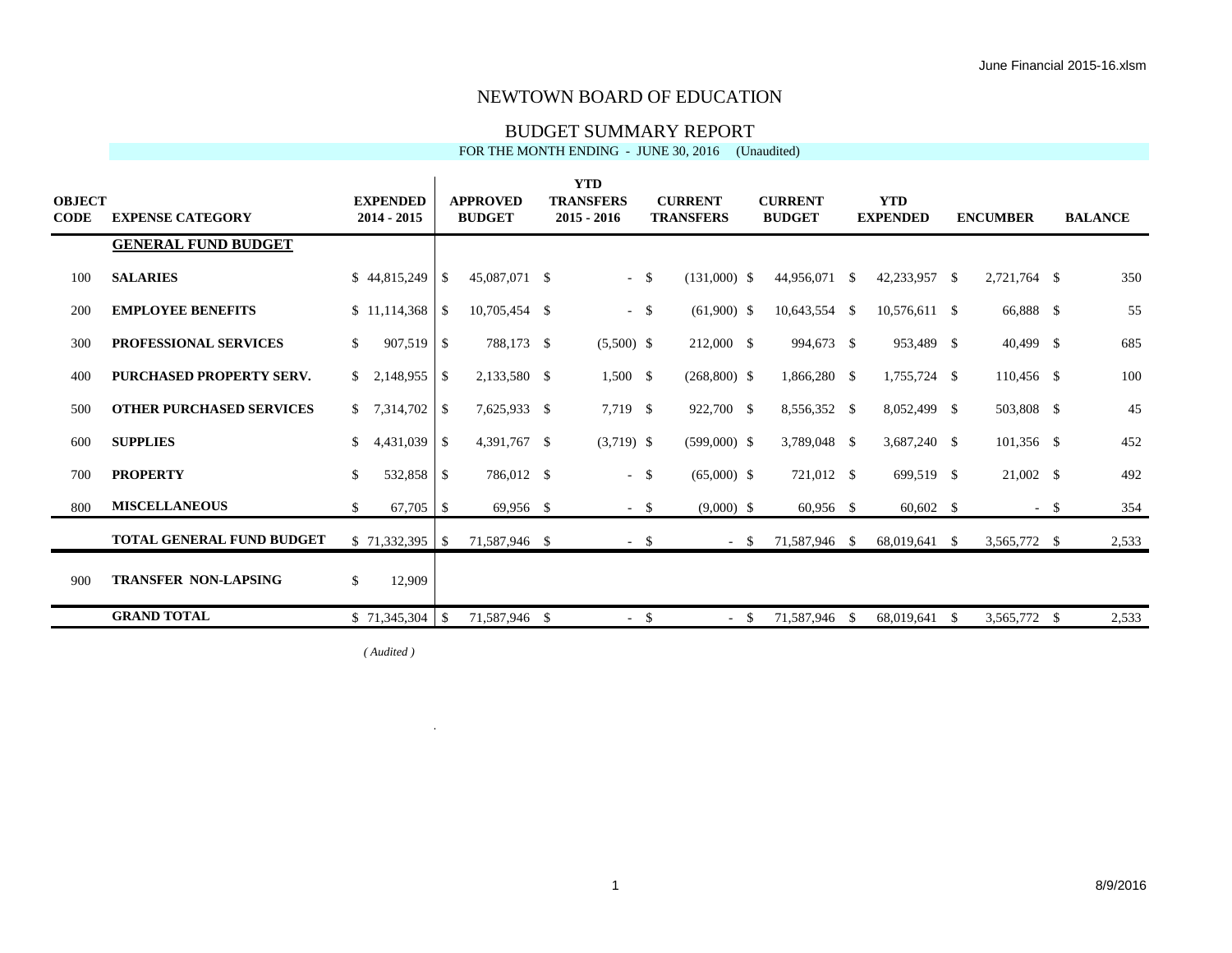#### BUDGET SUMMARY REPORT

#### FOR THE MONTH ENDING - JUNE 30, 2016 (Unaudited)

| <b>OBJECT</b><br><b>CODE</b> | <b>EXPENSE CATEGORY</b>          | <b>EXPENDED</b><br>$2014 - 2015$ |     | <b>APPROVED</b><br><b>BUDGET</b> | <b>YTD</b><br><b>TRANSFERS</b><br>$2015 - 2016$ |        | <b>CURRENT</b><br><b>TRANSFERS</b> | <b>CURRENT</b><br><b>BUDGET</b> |      | <b>YTD</b><br><b>EXPENDED</b> |    | <b>ENCUMBER</b> |      | <b>BALANCE</b> |
|------------------------------|----------------------------------|----------------------------------|-----|----------------------------------|-------------------------------------------------|--------|------------------------------------|---------------------------------|------|-------------------------------|----|-----------------|------|----------------|
|                              | <b>GENERAL FUND BUDGET</b>       |                                  |     |                                  |                                                 |        |                                    |                                 |      |                               |    |                 |      |                |
| 100                          | <b>SALARIES</b>                  |                                  |     | 45,087,071 \$                    |                                                 | $-5$   | $(131,000)$ \$                     | 44,956,071                      | - \$ | 42,233,957 \$                 |    | 2,721,764 \$    |      | 350            |
| 200                          | <b>EMPLOYEE BENEFITS</b>         |                                  |     | 10,705,454 \$                    |                                                 | $-$ \$ | $(61,900)$ \$                      | 10,643,554 \$                   |      | 10,576,611 \$                 |    | 66,888 \$       |      | 55             |
| 300                          | <b>PROFESSIONAL SERVICES</b>     | $907,519$ \$<br>\$               |     | 788,173 \$                       | $(5,500)$ \$                                    |        | 212,000 \$                         | 994,673 \$                      |      | 953,489 \$                    |    | $40,499$ \$     |      | 685            |
| 400                          | <b>PURCHASED PROPERTY SERV.</b>  |                                  |     | 2,133,580 \$                     | $1,500$ \$                                      |        | $(268,800)$ \$                     | 1,866,280 \$                    |      | 1,755,724 \$                  |    | $110,456$ \$    |      | 100            |
| 500                          | <b>OTHER PURCHASED SERVICES</b>  |                                  |     | 7,625,933 \$                     | 7,719 \$                                        |        | 922,700 \$                         | 8,556,352 \$                    |      | 8,052,499 \$                  |    | 503,808 \$      |      | 45             |
| 600                          | <b>SUPPLIES</b>                  | S.                               |     | 4,391,767 \$                     | $(3,719)$ \$                                    |        | $(599,000)$ \$                     | 3,789,048 \$                    |      | 3,687,240 \$                  |    | $101,356$ \$    |      | 452            |
| 700                          | <b>PROPERTY</b>                  | $\mathbb{S}$<br>532,858 \$       |     | 786,012 \$                       |                                                 | $-$ \$ | $(65,000)$ \$                      | 721,012 \$                      |      | 699,519 \$                    |    | $21,002$ \$     |      | 492            |
| 800                          | <b>MISCELLANEOUS</b>             | \$                               |     | 69,956 \$                        |                                                 | - \$   | $(9,000)$ \$                       | $60,956$ \$                     |      | $60,602$ \$                   |    |                 | - \$ | 354            |
|                              | <b>TOTAL GENERAL FUND BUDGET</b> |                                  |     | 71,587,946 \$                    |                                                 | - \$   | $-$ \$                             | 71,587,946 \$                   |      | 68,019,641 \$                 |    | 3,565,772 \$    |      | 2,533          |
| 900                          | <b>TRANSFER NON-LAPSING</b>      | $\mathbb{S}$<br>12,909           |     |                                  |                                                 |        |                                    |                                 |      |                               |    |                 |      |                |
|                              | <b>GRAND TOTAL</b>               | \$71,345,304                     | -\$ | 71,587,946 \$                    | $\sim$                                          | - \$   | $- S$                              | 71,587,946                      | -S   | 68,019,641                    | -S | 3,565,772 \$    |      | 2,533          |

*( Audited )*  $\overline{a}$ 

 $\mathbf{r}$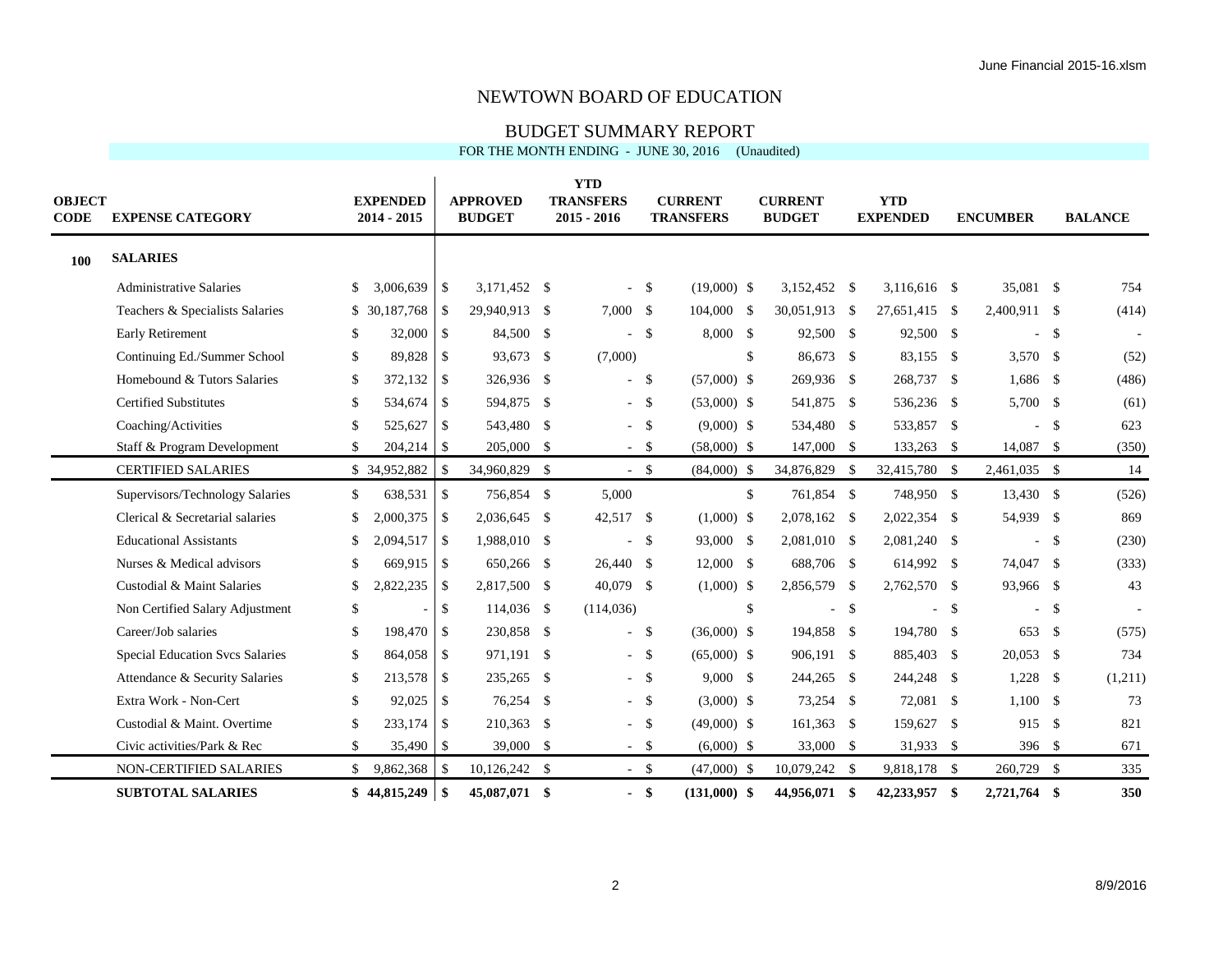## BUDGET SUMMARY REPORT

#### FOR THE MONTH ENDING - JUNE 30, 2016 (Unaudited)

| <b>OBJECT</b><br><b>CODE</b> | <b>EXPENSE CATEGORY</b>         |               | <b>EXPENDED</b><br>$2014 - 2015$ |                | <b>APPROVED</b><br><b>BUDGET</b> | <b>YTD</b><br><b>TRANSFERS</b><br>$2015 - 2016$ |                    | <b>CURRENT</b><br><b>TRANSFERS</b> | <b>CURRENT</b><br><b>BUDGET</b> | <b>YTD</b><br><b>EXPENDED</b> |               | <b>ENCUMBER</b> |        | <b>BALANCE</b> |
|------------------------------|---------------------------------|---------------|----------------------------------|----------------|----------------------------------|-------------------------------------------------|--------------------|------------------------------------|---------------------------------|-------------------------------|---------------|-----------------|--------|----------------|
| <b>100</b>                   | <b>SALARIES</b>                 |               |                                  |                |                                  |                                                 |                    |                                    |                                 |                               |               |                 |        |                |
|                              | <b>Administrative Salaries</b>  | \$            | 3,006,639                        | $\overline{1}$ | 3,171,452 \$                     | $\equiv$                                        | - \$               | $(19,000)$ \$                      | 3,152,452 \$                    | $3,116,616$ \$                |               | 35,081 \$       |        | 754            |
|                              | Teachers & Specialists Salaries |               | \$ 30,187,768                    | -S             | 29,940,913 \$                    | 7,000 \$                                        |                    | 104,000 \$                         | 30,051,913 \$                   | 27,651,415 \$                 |               | 2,400,911 \$    |        | (414)          |
|                              | Early Retirement                | <sup>\$</sup> | $32,000$ \$                      |                | 84,500 \$                        | ÷.                                              | $\mathbf{\hat{s}}$ | $8,000$ \$                         | 92,500 \$                       | 92,500 \$                     |               |                 | -\$    |                |
|                              | Continuing Ed./Summer School    | \$            | 89.828                           | $\sqrt{S}$     | 93,673 \$                        | (7,000)                                         |                    |                                    | \$<br>86,673 \$                 | 83,155 \$                     |               | $3,570$ \$      |        | (52)           |
|                              | Homebound & Tutors Salaries     | \$.           | $372,132$ \$                     |                | 326,936 \$                       | $\sim$                                          | \$                 | $(57,000)$ \$                      | 269,936 \$                      | 268,737 \$                    |               | 1,686 \$        |        | (486)          |
|                              | <b>Certified Substitutes</b>    | \$            | 534,674 \$                       |                | 594,875 \$                       |                                                 | $-5$               | $(53,000)$ \$                      | 541,875 \$                      | 536,236 \$                    |               | 5,700 \$        |        | (61)           |
|                              | Coaching/Activities             | \$            | 525,627 \$                       |                | 543,480 \$                       |                                                 | $-5$               | $(9,000)$ \$                       | 534,480 \$                      | 533,857 \$                    |               |                 | $-$ \$ | 623            |
|                              | Staff & Program Development     | \$            | $204,214$ \\$                    |                | 205,000 \$                       |                                                 | $-$ \$             | $(58,000)$ \$                      | 147,000 \$                      | 133,263                       | - \$          | 14,087 \$       |        | (350)          |
|                              | <b>CERTIFIED SALARIES</b>       |               | \$34,952,882                     | <sup>\$</sup>  | 34,960,829 \$                    |                                                 | $-5$               | $(84,000)$ \$                      | 34,876,829 \$                   | 32,415,780 \$                 |               | 2,461,035 \$    |        | 14             |
|                              | Supervisors/Technology Salaries | \$            | 638,531                          | -\$            | 756,854 \$                       | 5,000                                           |                    |                                    | \$<br>761,854 \$                | 748,950 \$                    |               | 13,430 \$       |        | (526)          |
|                              | Clerical & Secretarial salaries | \$            | 2,000,375                        | $\mathsf{S}$   | 2,036,645 \$                     | 42,517 \$                                       |                    | $(1,000)$ \$                       | 2,078,162 \$                    | 2,022,354 \$                  |               | 54,939 \$       |        | 869            |
|                              | <b>Educational Assistants</b>   | \$.           | 2,094,517                        | $\overline{1}$ | 1,988,010 \$                     | $\sim$                                          | -\$                | 93,000 \$                          | 2,081,010 \$                    | 2,081,240 \$                  |               | $\sim$          | \$     | (230)          |
|                              | Nurses & Medical advisors       | \$            | 669,915 \$                       |                | 650,266 \$                       | 26,440 \$                                       |                    | $12,000$ \$                        | 688,706 \$                      | 614,992 \$                    |               | 74,047 \$       |        | (333)          |
|                              | Custodial & Maint Salaries      | \$            | 2,822,235                        | l \$           | 2,817,500 \$                     | 40,079 \$                                       |                    | $(1,000)$ \$                       | 2,856,579 \$                    | 2,762,570 \$                  |               | 93,966 \$       |        | 43             |
|                              | Non Certified Salary Adjustment | \$            |                                  | \$             | 114,036 \$                       | (114, 036)                                      |                    |                                    | \$<br>$\blacksquare$            | \$                            | <sup>\$</sup> | ÷.              | \$     |                |
|                              | Career/Job salaries             | \$            | 198,470                          | l \$           | 230,858 \$                       | $\sim$                                          | \$                 | $(36,000)$ \$                      | 194,858 \$                      | 194,780 \$                    |               | 653             | \$     | (575)          |
|                              | Special Education Svcs Salaries | \$            | 864,058                          | <b>S</b>       | 971,191 \$                       |                                                 | $-5$               | $(65,000)$ \$                      | 906,191 \$                      | 885,403                       | - \$          | $20,053$ \$     |        | 734            |
|                              | Attendance & Security Salaries  | \$            | 213,578                          | \$             | 235,265 \$                       |                                                 | $-5$               | $9,000$ \$                         | 244,265 \$                      | 244,248 \$                    |               | $1,228$ \$      |        | (1,211)        |
|                              | Extra Work - Non-Cert           | $\mathbb{S}$  | 92,025                           | \$             | 76,254 \$                        |                                                 | $-5$               | $(3,000)$ \$                       | 73,254 \$                       | 72,081 \$                     |               | 1,100S          |        | 73             |
|                              | Custodial & Maint. Overtime     | \$            | 233,174                          | -\$            | 210,363 \$                       |                                                 | $-$ \$             | $(49,000)$ \$                      | 161,363 \$                      | 159,627                       | \$            | 915             | \$     | 821            |
|                              | Civic activities/Park & Rec     | \$            | 35,490                           | S              | 39,000 \$                        |                                                 | $-$ \$             | $(6,000)$ \$                       | 33,000 \$                       | 31,933 \$                     |               | 396 \$          |        | 671            |
|                              | NON-CERTIFIED SALARIES          | $\mathbb{S}$  | 9,862,368                        | \$             | 10,126,242 \$                    |                                                 | $-$ \$             | $(47,000)$ \$                      | 10,079,242 \$                   | 9,818,178 \$                  |               | 260,729 \$      |        | 335            |
|                              | <b>SUBTOTAL SALARIES</b>        |               | $$44,815,249$ \\$                |                | 45,087,071 \$                    |                                                 | $-$ \$             | $(131,000)$ \$                     | 44,956,071 \$                   | 42,233,957                    | \$            | 2,721,764 \$    |        | 350            |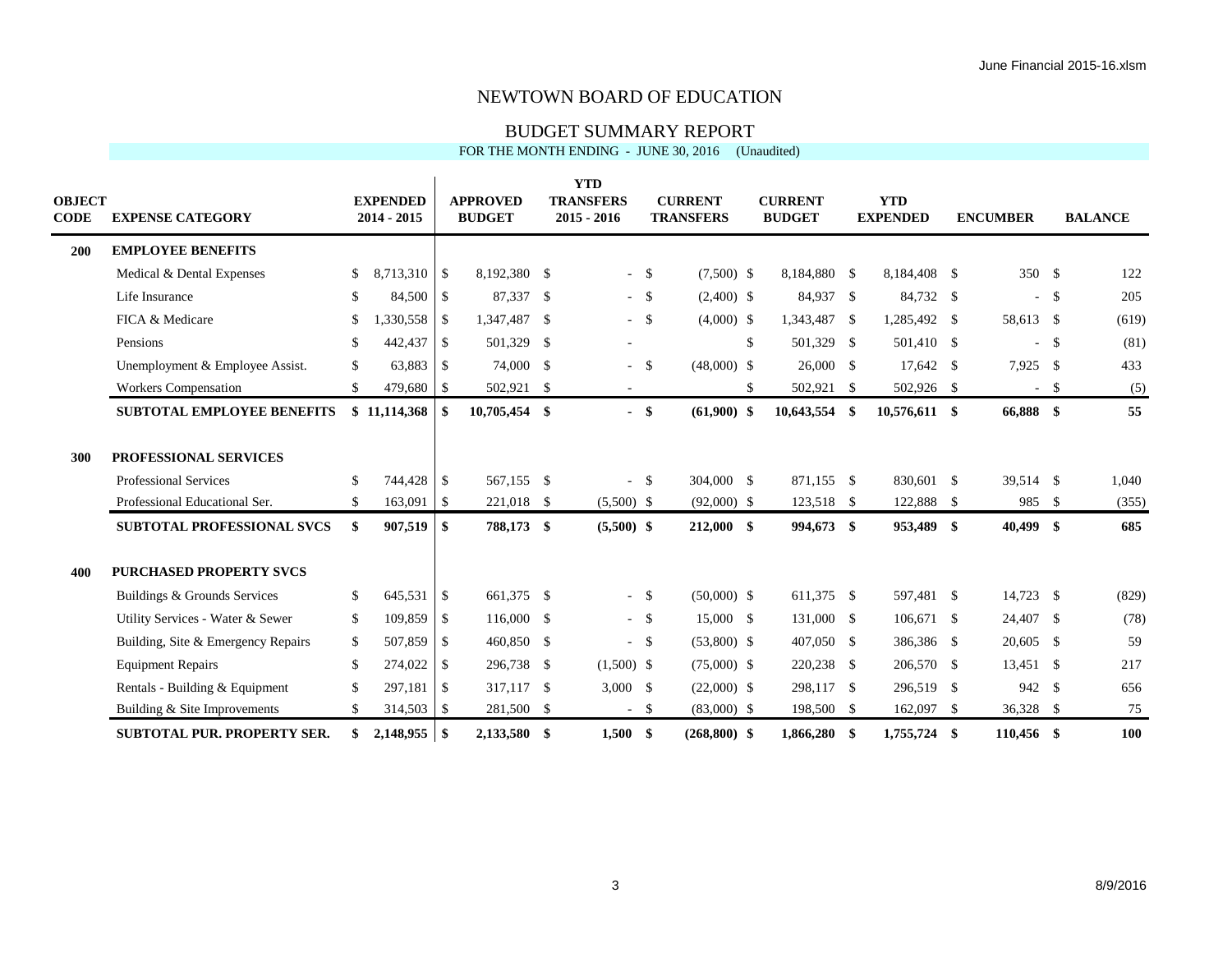#### BUDGET SUMMARY REPORT

| FOR THE MONTH ENDING - JUNE 30, 2016 (Unaudited) |  |  |
|--------------------------------------------------|--|--|
|--------------------------------------------------|--|--|

| OBJECT<br>CODE | <b>EXPENSE CATEGORY</b>                                                                |          | <b>EXPENDED</b><br>2014 - 2015 |                            | <b>APPROVED</b><br><b>BUDGET</b> |      | <b>YTD</b><br><b>TRANSFERS</b><br>$2015 - 2016$ |        | <b>CURRENT</b><br><b>TRANSFERS</b> | <b>CURRENT</b><br><b>BUDGET</b> |     | <b>YTD</b><br><b>EXPENDED</b> |     | <b>ENCUMBER</b>          |        | <b>BALANCE</b> |
|----------------|----------------------------------------------------------------------------------------|----------|--------------------------------|----------------------------|----------------------------------|------|-------------------------------------------------|--------|------------------------------------|---------------------------------|-----|-------------------------------|-----|--------------------------|--------|----------------|
| 200            | <b>EMPLOYEE BENEFITS</b>                                                               |          |                                |                            |                                  |      |                                                 |        |                                    |                                 |     |                               |     |                          |        |                |
|                | Medical & Dental Expenses                                                              | \$       | 8,713,310                      | $\overline{\phantom{a}}$   | 8,192,380 \$                     |      |                                                 | $-$ \$ | $(7,500)$ \$                       | 8,184,880 \$                    |     | 8,184,408 \$                  |     | 350 \$                   |        | 122            |
|                | Life Insurance                                                                         | \$       | 84,500                         | $\overline{\phantom{0}}$ 5 | 87,337                           | - \$ |                                                 | $-$ \$ | $(2,400)$ \$                       | 84,937 \$                       |     | 84,732 \$                     |     | $\overline{\phantom{a}}$ | \$     | 205            |
|                | FICA & Medicare                                                                        | \$       |                                |                            | 1,347,487 \$                     |      |                                                 | $-$ \$ | $(4,000)$ \$                       | 1,343,487 \$                    |     | 1,285,492 \$                  |     | 58,613 \$                |        | (619)          |
|                | Pensions                                                                               | \$       | 442,437                        | $\overline{1}$             | 501,329                          | - \$ | $\overline{\phantom{a}}$                        |        |                                    | \$<br>501,329 \$                |     | 501,410 \$                    |     | $\omega$                 | \$     | (81)           |
|                | Unemployment & Employee Assist.                                                        | \$       | 63,883 \$                      |                            | 74,000 \$                        |      | $\mathcal{L}_{\mathcal{A}}$                     | - \$   | $(48,000)$ \$                      | 26,000 \$                       |     | 17,642 \$                     |     | 7,925 \$                 |        | 433            |
|                | Workers Compensation                                                                   | \$       | 479,680 \$                     |                            | 502,921 \$                       |      | $\sim$                                          |        |                                    | \$<br>502,921 \$                |     | 502,926 \$                    |     |                          | $-$ \$ | (5)            |
|                | <b>SUBTOTAL EMPLOYEE BENEFITS</b>                                                      |          |                                |                            | 10,705,454 \$                    |      |                                                 | $-$ \$ | $(61,900)$ \$                      | 10,643,554                      | \$  | $10,576,611$ \$               |     | 66,888 \$                |        | 55             |
| 300            | <b>PROFESSIONAL SERVICES</b><br>Professional Services<br>Professional Educational Ser. | \$<br>\$ | 744,428 \$<br>163,091          | $\vert$ \$                 | 567,155 \$<br>221,018 \$         |      | $\overline{a}$<br>$(5,500)$ \$                  | - \$   | 304,000 \$<br>$(92,000)$ \$        | 871,155 \$<br>123,518 \$        |     | 830,601 \$<br>122,888 \$      |     | 39,514 \$<br>985 \$      |        | 1,040<br>(355) |
|                | <b>SUBTOTAL PROFESSIONAL SVCS</b>                                                      | \$       | 907,519                        | \$                         | 788,173 \$                       |      | $(5,500)$ \$                                    |        | $212,000$ \$                       | 994,673 \$                      |     | 953,489 \$                    |     | 40,499 \$                |        | 685            |
| 400            | <b>PURCHASED PROPERTY SVCS</b>                                                         |          |                                |                            |                                  |      |                                                 |        |                                    |                                 |     |                               |     |                          |        |                |
|                | Buildings & Grounds Services                                                           | \$       | 645,531                        | $\overline{\phantom{a}}$   | 661,375 \$                       |      |                                                 | $-$ \$ | $(50,000)$ \$                      | 611,375 \$                      |     | 597,481 \$                    |     | 14,723 \$                |        | (829)          |
|                | Utility Services - Water & Sewer                                                       | \$       | 109,859                        | $\overline{\phantom{a}}$   | 116,000 \$                       |      |                                                 | $-5$   | 15,000 \$                          | 131,000 \$                      |     | 106,671 \$                    |     | 24,407 \$                |        | (78)           |
|                | Building, Site & Emergency Repairs                                                     | \$       | 507,859                        | $\overline{\phantom{a}}$   | 460,850 \$                       |      |                                                 | $-$ \$ | $(53,800)$ \$                      | 407,050 \$                      |     | 386,386 \$                    |     | 20,605 \$                |        | 59             |
|                | <b>Equipment Repairs</b>                                                               | \$       | 274,022                        | $\vert$ \$                 | 296,738 \$                       |      | $(1,500)$ \$                                    |        | $(75,000)$ \$                      | 220,238 \$                      |     | 206,570 \$                    |     | $13,451$ \$              |        | 217            |
|                | Rentals - Building & Equipment                                                         | \$       | 297,181                        | $\overline{1}$             | 317,117 \$                       |      | $3,000$ \$                                      |        | $(22,000)$ \$                      | 298,117 \$                      |     | 296,519 \$                    |     | 942 \$                   |        | 656            |
|                | Building & Site Improvements                                                           | \$       | 314,503                        | $\vert$ \$                 | 281,500 \$                       |      | $\sim$                                          | - \$   | $(83,000)$ \$                      | 198,500 \$                      |     | 162,097                       | -S  | 36,328 \$                |        | 75             |
|                | <b>SUBTOTAL PUR. PROPERTY SER.</b>                                                     | \$       |                                |                            | 2,133,580 \$                     |      | 1,500                                           | - \$   | $(268, 800)$ \$                    | 1,866,280                       | -\$ | 1,755,724                     | -\$ | 110.456 \$               |        | 100            |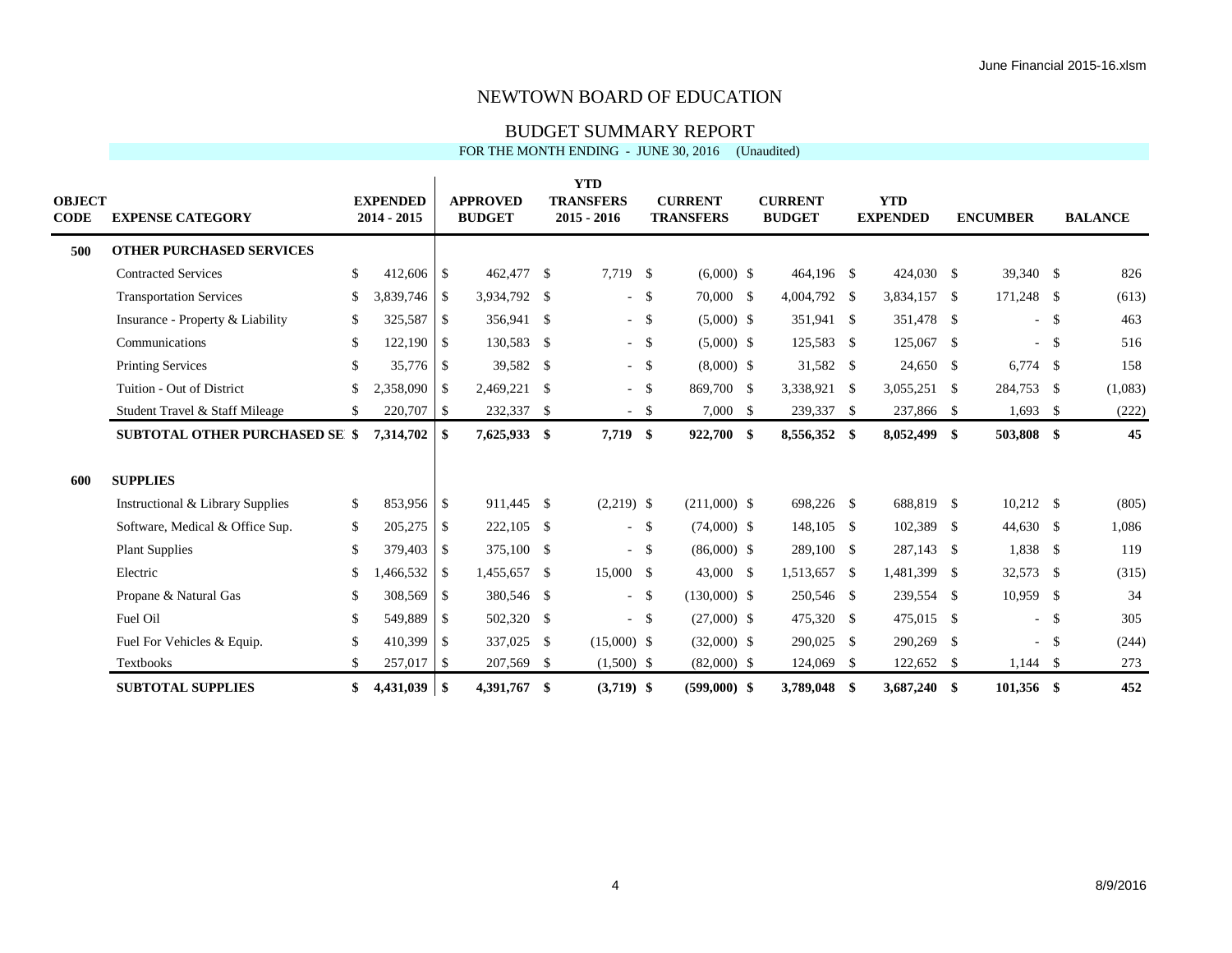#### BUDGET SUMMARY REPORT

FOR THE MONTH ENDING - JUNE 30, 2016 (Unaudited)

| OBJECT<br>CODE | <b>EXPENSE CATEGORY</b>               | <b>EXPENDED</b><br>$2014 - 2015$ | <b>APPROVED</b><br><b>BUDGET</b> | <b>YTD</b><br><b>TRANSFERS</b><br>$2015 - 2016$ |        | <b>CURRENT</b><br><b>TRANSFERS</b> | <b>CURRENT</b><br><b>BUDGET</b> | <b>YTD</b><br><b>EXPENDED</b> | <b>ENCUMBER</b> |      | <b>BALANCE</b> |
|----------------|---------------------------------------|----------------------------------|----------------------------------|-------------------------------------------------|--------|------------------------------------|---------------------------------|-------------------------------|-----------------|------|----------------|
| 500            | <b>OTHER PURCHASED SERVICES</b>       |                                  |                                  |                                                 |        |                                    |                                 |                               |                 |      |                |
|                | <b>Contracted Services</b>            | \$<br>$412,606$ \$               | 462,477 \$                       | 7,719 \$                                        |        | $(6,000)$ \$                       | 464,196 \$                      | 424,030 \$                    | 39,340 \$       |      | 826            |
|                | <b>Transportation Services</b>        | $3,839,746$ \$<br>\$             | 3,934,792 \$                     |                                                 | $-5$   | 70,000 \$                          | 4,004,792 \$                    | 3,834,157 \$                  | 171,248 \$      |      | (613)          |
|                | Insurance - Property & Liability      | 325,587 \$<br>\$                 | 356,941 \$                       |                                                 | $-$ \$ | $(5,000)$ \$                       | 351,941 \$                      | 351,478 \$                    | $\sim$          | - \$ | 463            |
|                | Communications                        | \$<br>$122,190$ \$               | 130,583 \$                       |                                                 | $-$ \$ | $(5,000)$ \$                       | 125,583 \$                      | 125,067 \$                    | $\sim$          | \$   | 516            |
|                | <b>Printing Services</b>              | 35,776 \$<br>\$                  | 39,582 \$                        |                                                 | $-5$   | $(8,000)$ \$                       | 31,582 \$                       | 24,650 \$                     | $6,774$ \$      |      | 158            |
|                | Tuition - Out of District             | \$<br>$2,358,090$ \$             | 2,469,221 \$                     |                                                 | $-5$   | 869,700 \$                         | 3,338,921 \$                    | $3,055,251$ \$                | 284,753 \$      |      | (1,083)        |
|                | Student Travel & Staff Mileage        | 220,707 \$<br>\$                 | 232,337 \$                       |                                                 | - \$   | $7,000$ \$                         | 239,337 \$                      | 237,866 \$                    | $1,693$ \$      |      | (222)          |
|                | <b>SUBTOTAL OTHER PURCHASED SE \$</b> | 7,314,702                        | \$<br>7,625,933 \$               | $7,719$ \$                                      |        | 922,700 \$                         | 8,556,352 \$                    | 8,052,499 \$                  | 503,808 \$      |      | 45             |
| 600            | <b>SUPPLIES</b>                       |                                  |                                  |                                                 |        |                                    |                                 |                               |                 |      |                |
|                | Instructional & Library Supplies      | 853,956 \$<br>\$                 | 911,445 \$                       | $(2,219)$ \$                                    |        | $(211,000)$ \$                     | 698,226 \$                      | 688,819 \$                    | $10,212$ \$     |      | (805)          |
|                | Software, Medical & Office Sup.       | $205,275$ \$<br>\$               | 222,105 \$                       |                                                 | $-$ \$ | $(74,000)$ \$                      | 148,105 \$                      | 102,389 \$                    | 44,630 \$       |      | 1,086          |
|                | <b>Plant Supplies</b>                 | \$<br>379,403 \$                 | 375,100 \$                       |                                                 | $-$ \$ | $(86,000)$ \$                      | 289,100 \$                      | 287,143 \$                    | 1,838 \$        |      | 119            |
|                | Electric                              | \$                               | 1,455,657 \$                     | 15,000 \$                                       |        | 43,000 \$                          | 1,513,657 \$                    | 1,481,399 \$                  | 32,573 \$       |      | (315)          |
|                | Propane & Natural Gas                 | 308,569 \$<br>\$                 | 380,546 \$                       | $\sim$                                          | - \$   | $(130,000)$ \$                     | 250,546 \$                      | 239,554 \$                    | $10,959$ \$     |      | 34             |
|                | Fuel Oil                              | \$<br>549,889 \$                 | 502,320 \$                       |                                                 | $-$ \$ | $(27,000)$ \$                      | 475,320 \$                      | 475,015 \$                    | $\sim$          | \$   | 305            |
|                | Fuel For Vehicles & Equip.            | \$<br>$410,399$ \$               | 337,025 \$                       | $(15,000)$ \$                                   |        | $(32,000)$ \$                      | 290,025 \$                      | 290,269 \$                    | $\sim$          | - \$ | (244)          |
|                | <b>Textbooks</b>                      | \$<br>$257,017$ \$               | 207,569 \$                       | $(1,500)$ \$                                    |        | $(82,000)$ \$                      | 124,069 \$                      | 122,652 \$                    | $1,144$ \$      |      | 273            |
|                | <b>SUBTOTAL SUPPLIES</b>              | \$                               | 4,391,767 \$                     | $(3,719)$ \$                                    |        | $(599.000)$ \$                     | 3,789,048 \$                    | 3,687,240 \$                  | 101,356 \$      |      | 452            |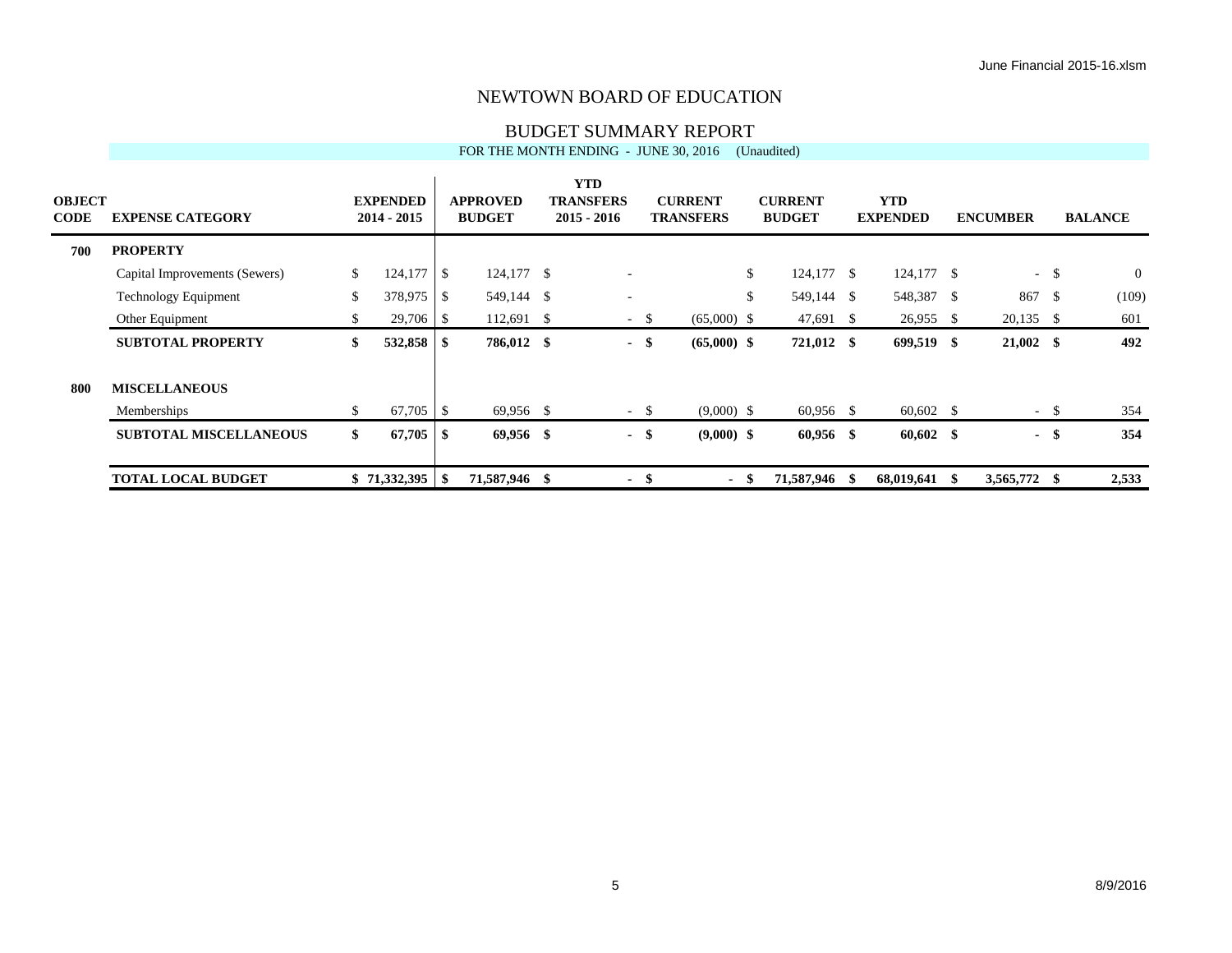#### BUDGET SUMMARY REPORT

|                              |                               |    |                                  |          |                                  | FOR THE MONTH ENDING - JUNE 30, 2016            |        |                                    |      | (Unaudited)                     |                               |    |                 |        |                |
|------------------------------|-------------------------------|----|----------------------------------|----------|----------------------------------|-------------------------------------------------|--------|------------------------------------|------|---------------------------------|-------------------------------|----|-----------------|--------|----------------|
| <b>OBJECT</b><br><b>CODE</b> | <b>EXPENSE CATEGORY</b>       |    | <b>EXPENDED</b><br>$2014 - 2015$ |          | <b>APPROVED</b><br><b>BUDGET</b> | <b>YTD</b><br><b>TRANSFERS</b><br>$2015 - 2016$ |        | <b>CURRENT</b><br><b>TRANSFERS</b> |      | <b>CURRENT</b><br><b>BUDGET</b> | <b>YTD</b><br><b>EXPENDED</b> |    | <b>ENCUMBER</b> |        | <b>BALANCE</b> |
| 700                          | <b>PROPERTY</b>               |    |                                  |          |                                  |                                                 |        |                                    |      |                                 |                               |    |                 |        |                |
|                              | Capital Improvements (Sewers) | \$ | 124,177                          | l \$     | $124,177$ \$                     | $\overline{\phantom{a}}$                        |        |                                    | \$   | $124,177$ \$                    | $124,177$ \$                  |    | $\sim$          | \$     | $\overline{0}$ |
|                              | <b>Technology Equipment</b>   | \$ | 378,975                          | <b>S</b> | 549,144 \$                       | ۰                                               |        |                                    | \$   | 549,144 \$                      | 548,387 \$                    |    | 867             | -\$    | (109)          |
|                              | Other Equipment               | S. |                                  |          | $112,691$ \$                     |                                                 | $-$ \$ | $(65,000)$ \$                      |      | 47,691 \$                       | $26,955$ \$                   |    | $20,135$ \$     |        | 601            |
|                              | <b>SUBTOTAL PROPERTY</b>      | \$ |                                  |          | 786,012 \$                       |                                                 | - \$   | $(65,000)$ \$                      |      | 721,012 \$                      | 699,519 \$                    |    | $21,002$ \$     |        | 492            |
| 800                          | <b>MISCELLANEOUS</b>          |    |                                  |          |                                  |                                                 |        |                                    |      |                                 |                               |    |                 |        |                |
|                              | Memberships                   | S. |                                  |          | 69,956 \$                        |                                                 | $-$ \$ | $(9,000)$ \$                       |      | $60,956$ \$                     | $60,602$ \$                   |    |                 | $-$ \$ | 354            |
|                              | <b>SUBTOTAL MISCELLANEOUS</b> | \$ | 67,705                           | l \$     | $69,956$ \$                      |                                                 | - \$   | $(9,000)$ \$                       |      | $60,956$ \$                     | $60,602$ \$                   |    |                 | - \$   | 354            |
|                              | <b>TOTAL LOCAL BUDGET</b>     |    |                                  |          | 71,587,946 \$                    |                                                 | -\$    | $\blacksquare$                     | - \$ | 71,587,946 \$                   | 68,019,641                    | -S | 3,565,772 \$    |        | 2,533          |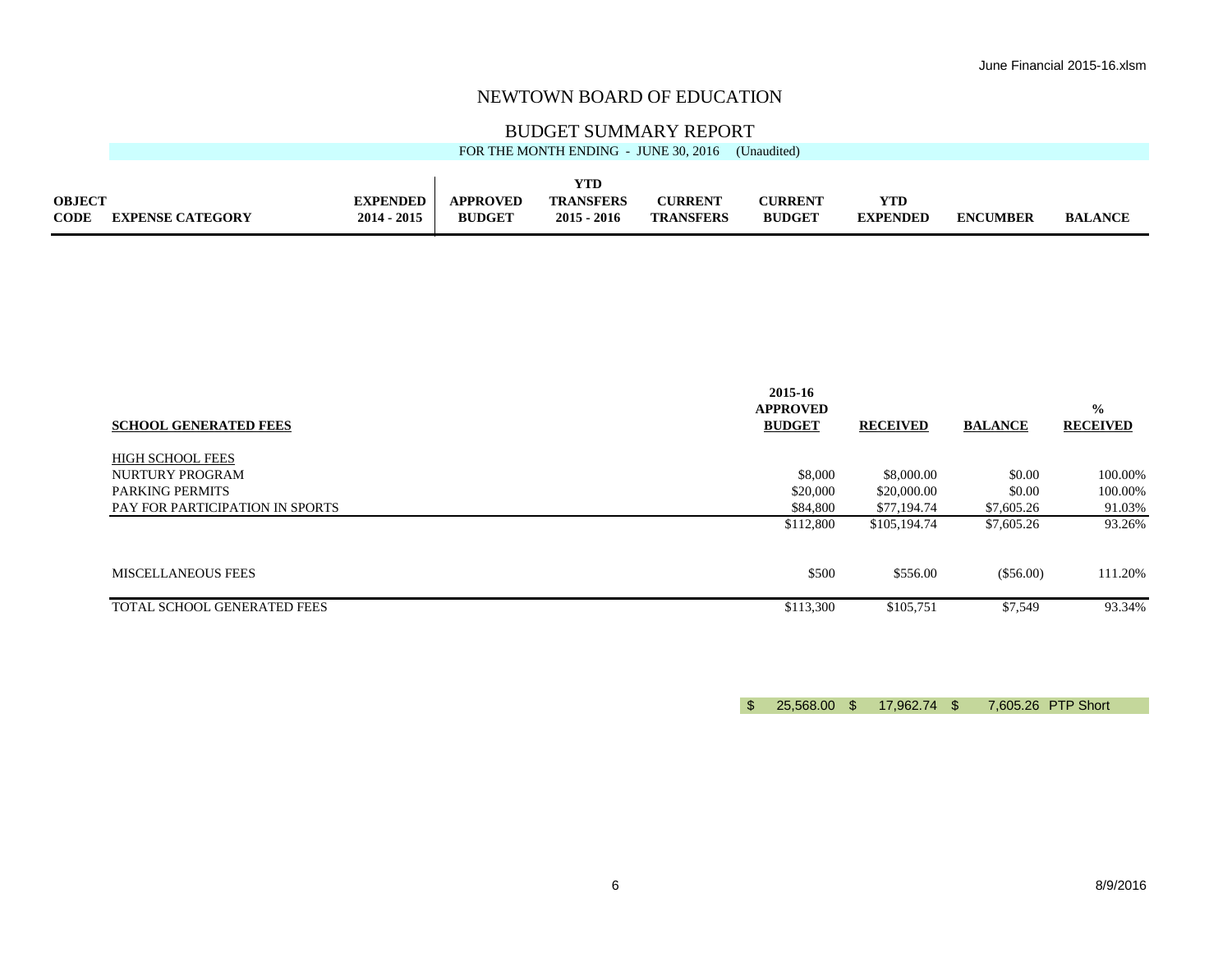#### BUDGET SUMMARY REPORT

|               | FOR THE MONTH ENDING - JUNE 30, 2016<br>(Unaudited) |                 |               |                  |                  |                |                 |                 |                |  |  |
|---------------|-----------------------------------------------------|-----------------|---------------|------------------|------------------|----------------|-----------------|-----------------|----------------|--|--|
|               |                                                     |                 |               |                  |                  |                |                 |                 |                |  |  |
|               |                                                     |                 |               | YTD              |                  |                |                 |                 |                |  |  |
| <b>OBJECT</b> |                                                     | <b>EXPENDED</b> | APPROVED      | <b>TRANSFERS</b> | <b>CURRENT</b>   | <b>CURRENT</b> | YTD             |                 |                |  |  |
| <b>CODE</b>   | <b>EXPENSE CATEGORY</b>                             | $2014 - 2015$   | <b>BUDGET</b> | $2015 - 2016$    | <b>TRANSFERS</b> | <b>BUDGET</b>  | <b>EXPENDED</b> | <b>ENCUMBER</b> | <b>BALANCE</b> |  |  |
|               |                                                     |                 |               |                  |                  |                |                 |                 |                |  |  |

| <b>SCHOOL GENERATED FEES</b>    | 2015-16<br><b>APPROVED</b><br><b>BUDGET</b> | <b>RECEIVED</b> | <b>BALANCE</b> | $\frac{0}{0}$<br><b>RECEIVED</b> |
|---------------------------------|---------------------------------------------|-----------------|----------------|----------------------------------|
| <b>HIGH SCHOOL FEES</b>         |                                             |                 |                |                                  |
| NURTURY PROGRAM                 | \$8,000                                     | \$8,000.00      | \$0.00         | 100.00%                          |
| <b>PARKING PERMITS</b>          | \$20,000                                    | \$20,000.00     | \$0.00         | 100.00%                          |
| PAY FOR PARTICIPATION IN SPORTS | \$84,800                                    | \$77,194.74     | \$7,605.26     | 91.03%                           |
|                                 | \$112,800                                   | \$105,194.74    | \$7,605.26     | 93.26%                           |
| MISCELLANEOUS FEES              | \$500                                       | \$556.00        | (\$56.00)      | 111.20%                          |
| TOTAL SCHOOL GENERATED FEES     | \$113,300                                   | \$105,751       | \$7,549        | 93.34%                           |

\$ 25,568.00 \$ 17,962.74 \$ 7,605.26 PTP Short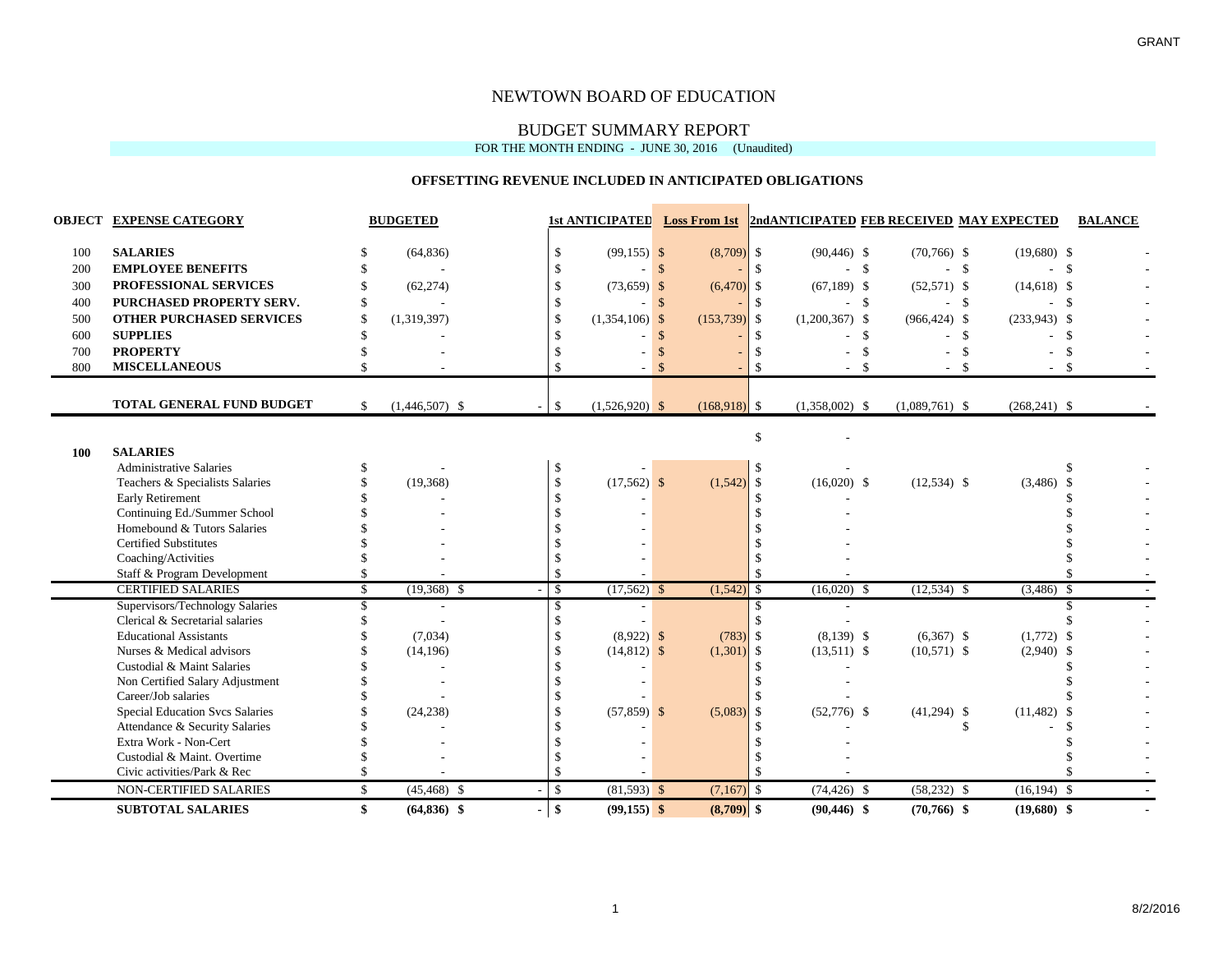#### BUDGET SUMMARY REPORT

FOR THE MONTH ENDING - JUNE 30, 2016 (Unaudited)

#### **OFFSETTING REVENUE INCLUDED IN ANTICIPATED OBLIGATIONS**

|     | <b>OBJECT EXPENSE CATEGORY</b>         |               | <b>BUDGETED</b>  |               |                  |               |                | 1st ANTICIPATED Loss From 1st   2nd ANTICIPATED FEB RECEIVED MAY EXPECTED |                  |                  | <b>BALANCE</b> |  |
|-----|----------------------------------------|---------------|------------------|---------------|------------------|---------------|----------------|---------------------------------------------------------------------------|------------------|------------------|----------------|--|
| 100 | <b>SALARIES</b>                        |               | (64, 836)        | S.            | $(99, 155)$ \$   |               | $(8,709)$ \$   | $(90, 446)$ \$                                                            | $(70, 766)$ \$   | $(19,680)$ \$    |                |  |
| 200 | <b>EMPLOYEE BENEFITS</b>               |               |                  |               |                  | $\mathbf{s}$  |                |                                                                           | $\mathbf{s}$     | $-$ \$           | $\mathbb{S}$   |  |
| 300 | PROFESSIONAL SERVICES                  |               | (62, 274)        | $\mathcal{S}$ | (73,659)         | $\mathcal{S}$ | $(6,470)$ \$   | $(67,189)$ \$                                                             | $(52,571)$ \$    | $(14,618)$ \$    |                |  |
| 400 | PURCHASED PROPERTY SERV.               |               |                  |               | $\overline{a}$   | $\mathcal{S}$ |                | - \$                                                                      |                  | $-$ \$<br>$\sim$ | - \$           |  |
| 500 | <b>OTHER PURCHASED SERVICES</b>        | \$            | (1,319,397)      | <sup>\$</sup> | (1,354,106)      | $\mathcal{S}$ | (153, 739)     | - \$<br>$(1,200,367)$ \$                                                  | $(966, 424)$ \$  | $(233,943)$ \$   |                |  |
| 600 | <b>SUPPLIES</b>                        |               |                  |               |                  | <sup>\$</sup> |                |                                                                           | - \$             | - \$             | -\$            |  |
| 700 | <b>PROPERTY</b>                        |               |                  |               |                  |               |                |                                                                           |                  |                  | $\mathcal{S}$  |  |
| 800 | <b>MISCELLANEOUS</b>                   |               |                  |               |                  |               |                |                                                                           |                  | $-5$<br>- \$     |                |  |
|     |                                        |               |                  |               |                  |               |                |                                                                           |                  |                  |                |  |
|     | <b>TOTAL GENERAL FUND BUDGET</b>       | \$            | $(1,446,507)$ \$ | -\$           | $(1,526,920)$ \$ |               | $(168,918)$ \$ | $(1,358,002)$ \$                                                          | $(1,089,761)$ \$ | $(268,241)$ \$   |                |  |
|     |                                        |               |                  |               |                  |               |                | \$                                                                        |                  |                  |                |  |
| 100 | <b>SALARIES</b>                        |               |                  |               |                  |               |                |                                                                           |                  |                  |                |  |
|     | <b>Administrative Salaries</b>         |               |                  | -S            |                  |               |                |                                                                           |                  |                  | S.             |  |
|     | Teachers & Specialists Salaries        |               | (19,368)         | $\mathcal{S}$ | $(17,562)$ \$    |               | (1, 542)       | <sup>5</sup><br>$(16,020)$ \$                                             | $(12,534)$ \$    | $(3,486)$ \$     |                |  |
|     | <b>Early Retirement</b>                |               |                  | $\mathcal{S}$ |                  |               |                |                                                                           |                  |                  |                |  |
|     | Continuing Ed./Summer School           |               |                  |               |                  |               |                |                                                                           |                  |                  |                |  |
|     | Homebound & Tutors Salaries            |               |                  |               |                  |               |                |                                                                           |                  |                  |                |  |
|     | <b>Certified Substitutes</b>           |               |                  |               |                  |               |                |                                                                           |                  |                  |                |  |
|     | Coaching/Activities                    |               |                  |               |                  |               |                |                                                                           |                  |                  |                |  |
|     | Staff & Program Development            |               |                  | -8            |                  |               |                |                                                                           |                  |                  |                |  |
|     | <b>CERTIFIED SALARIES</b>              | \$            | $(19,368)$ \$    | \$            | $(17,562)$ \$    |               | (1, 542)       | $(16,020)$ \$<br>- \$                                                     | $(12,534)$ \$    | $(3,486)$ \$     |                |  |
|     | Supervisors/Technology Salaries        |               |                  | -8            |                  |               |                |                                                                           |                  |                  |                |  |
|     | Clerical & Secretarial salaries        |               |                  |               |                  |               |                |                                                                           |                  |                  |                |  |
|     | <b>Educational Assistants</b>          |               | (7,034)          | -S            | $(8,922)$ \$     |               | (783)          | $(8,139)$ \$<br>- \$                                                      | $(6,367)$ \$     | $(1,772)$ \$     |                |  |
|     | Nurses & Medical advisors              |               | (14, 196)        | $\mathcal{S}$ | $(14,812)$ \$    |               | (1,301)        | <b>S</b><br>$(13,511)$ \$                                                 | $(10,571)$ \$    | $(2,940)$ \$     |                |  |
|     | Custodial & Maint Salaries             |               |                  |               |                  |               |                |                                                                           |                  |                  |                |  |
|     | Non Certified Salary Adjustment        |               |                  |               |                  |               |                |                                                                           |                  |                  |                |  |
|     | Career/Job salaries                    |               |                  |               |                  |               |                |                                                                           |                  |                  |                |  |
|     | <b>Special Education Svcs Salaries</b> |               | (24, 238)        |               | $(57,859)$ \$    |               | (5,083)        | $(52,776)$ \$<br>- \$                                                     | $(41,294)$ \$    | (11, 482)        | - \$           |  |
|     | Attendance & Security Salaries         |               |                  |               |                  |               |                |                                                                           |                  | S.               |                |  |
|     | Extra Work - Non-Cert                  |               |                  |               |                  |               |                |                                                                           |                  |                  |                |  |
|     | Custodial & Maint. Overtime            |               |                  |               |                  |               |                |                                                                           |                  |                  |                |  |
|     | Civic activities/Park & Rec            |               |                  |               |                  |               |                |                                                                           |                  |                  |                |  |
|     | <b>NON-CERTIFIED SALARIES</b>          | <sup>\$</sup> | $(45, 468)$ \$   | $\mathbb{S}$  | $(81,593)$ \$    |               | $(7,167)$ \$   | $(74, 426)$ \$                                                            | $(58, 232)$ \$   | $(16, 194)$ \$   |                |  |
|     | <b>SUBTOTAL SALARIES</b>               | \$            | $(64, 836)$ \$   | $-$ \$        | $(99,155)$ \$    |               | $(8,709)$ \$   | $(90, 446)$ \$                                                            | $(70,766)$ \$    | $(19,680)$ \$    |                |  |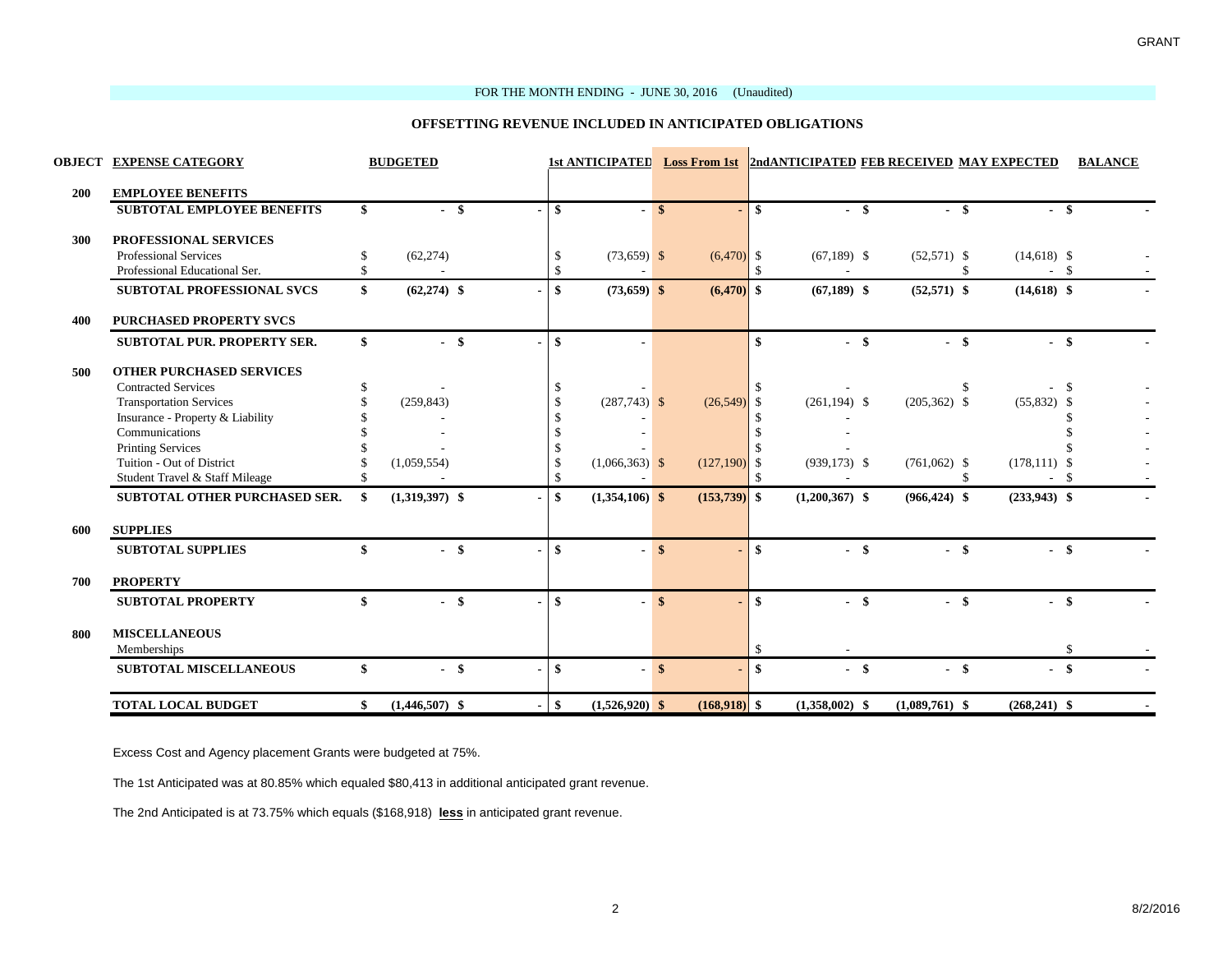#### FOR THE MONTH ENDING - JUNE 30, 2016 (Unaudited)

#### **OFFSETTING REVENUE INCLUDED IN ANTICIPATED OBLIGATIONS**

and the company of the company

|     | <b>OBJECT EXPENSE CATEGORY</b>    | <b>BUDGETED</b>        |                |        |                  |               |                |               | 1st ANTICIPATED Loss From 1st 2ndANTICIPATED FEB RECEIVED MAY EXPECTED |                  |                 | <b>BALANCE</b> |  |
|-----|-----------------------------------|------------------------|----------------|--------|------------------|---------------|----------------|---------------|------------------------------------------------------------------------|------------------|-----------------|----------------|--|
| 200 | <b>EMPLOYEE BENEFITS</b>          |                        |                |        |                  |               |                |               |                                                                        |                  |                 |                |  |
|     | <b>SUBTOTAL EMPLOYEE BENEFITS</b> | \$<br>$-$ \$           |                | \$     |                  | $-$ \$        |                | - \$          | - \$                                                                   | - \$             | - \$            |                |  |
| 300 | PROFESSIONAL SERVICES             |                        |                |        |                  |               |                |               |                                                                        |                  |                 |                |  |
|     | <b>Professional Services</b>      | \$<br>(62, 274)        |                | -S     | $(73,659)$ \$    |               | $(6,470)$ \$   |               | $(67,189)$ \$                                                          | $(52,571)$ \$    | $(14,618)$ \$   |                |  |
|     | Professional Educational Ser.     | \$                     |                | -S     |                  |               |                |               |                                                                        |                  | $-$ \$          |                |  |
|     | <b>SUBTOTAL PROFESSIONAL SVCS</b> | \$<br>$(62,274)$ \$    |                | \$     | $(73,659)$ \$    |               | $(6,470)$ \$   |               | $(67,189)$ \$                                                          | $(52,571)$ \$    | $(14,618)$ \$   |                |  |
| 400 | <b>PURCHASED PROPERTY SVCS</b>    |                        |                |        |                  |               |                |               |                                                                        |                  |                 |                |  |
|     | SUBTOTAL PUR. PROPERTY SER.       | \$<br>$-$ \$           |                | \$     |                  |               |                | \$            | $-$ \$                                                                 | $-$ \$           | - \$            |                |  |
| 500 | <b>OTHER PURCHASED SERVICES</b>   |                        |                |        |                  |               |                |               |                                                                        |                  |                 |                |  |
|     | <b>Contracted Services</b>        |                        |                |        |                  |               |                |               |                                                                        |                  |                 |                |  |
|     | <b>Transportation Services</b>    | (259, 843)             |                |        | $(287,743)$ \$   |               | (26, 549)      |               | $(261.194)$ \$                                                         | $(205, 362)$ \$  | $(55,832)$ \$   |                |  |
|     | Insurance - Property & Liability  |                        |                |        |                  |               |                |               |                                                                        |                  |                 |                |  |
|     | Communications                    |                        |                |        |                  |               |                |               |                                                                        |                  |                 |                |  |
|     | <b>Printing Services</b>          |                        |                |        |                  |               |                |               |                                                                        |                  |                 |                |  |
|     | Tuition - Out of District         | (1,059,554)            |                |        | $(1,066,363)$ \$ |               | $(127,190)$ \$ |               | $(939, 173)$ \$                                                        | $(761,062)$ \$   | $(178, 111)$ \$ |                |  |
|     | Student Travel & Staff Mileage    |                        |                |        |                  |               |                |               |                                                                        |                  | - \$            |                |  |
|     | SUBTOTAL OTHER PURCHASED SER.     | \$<br>$(1,319,397)$ \$ |                | \$     | $(1,354,106)$ \$ |               | $(153,739)$ \$ |               | $(1,200,367)$ \$                                                       | $(966, 424)$ \$  | $(233,943)$ \$  |                |  |
| 600 | <b>SUPPLIES</b>                   |                        |                |        |                  |               |                |               |                                                                        |                  |                 |                |  |
|     | <b>SUBTOTAL SUPPLIES</b>          | \$<br>$-$ \$           |                | \$     |                  | $\mathbf{s}$  |                | $\mathbf{s}$  | $-$ \$                                                                 | $-$ \$           | $-$ \$          |                |  |
| 700 | <b>PROPERTY</b>                   |                        |                |        |                  |               |                |               |                                                                        |                  |                 |                |  |
|     | <b>SUBTOTAL PROPERTY</b>          | \$<br>$-$ \$           |                | \$     |                  | $\mathbf{\$}$ |                | \$            | $-$ \$                                                                 | - \$             | - \$            |                |  |
| 800 | <b>MISCELLANEOUS</b>              |                        |                |        |                  |               |                |               |                                                                        |                  |                 |                |  |
|     | Memberships                       |                        |                |        |                  |               |                | $\mathcal{S}$ |                                                                        |                  |                 |                |  |
|     | <b>SUBTOTAL MISCELLANEOUS</b>     | \$<br>$-$ \$           | $\blacksquare$ | \$     |                  | \$            | $\blacksquare$ | \$            | $-$ \$                                                                 | $-$ \$           | $-$ \$          |                |  |
|     | <b>TOTAL LOCAL BUDGET</b>         | \$<br>$(1,446,507)$ \$ |                | $-$ \$ | $(1,526,920)$ \$ |               | $(168,918)$ \$ |               | $(1,358,002)$ \$                                                       | $(1,089,761)$ \$ | $(268,241)$ \$  |                |  |

Excess Cost and Agency placement Grants were budgeted at 75%.

The 1st Anticipated was at 80.85% which equaled \$80,413 in additional anticipated grant revenue.

The 2nd Anticipated is at 73.75% which equals (\$168,918) **less** in anticipated grant revenue.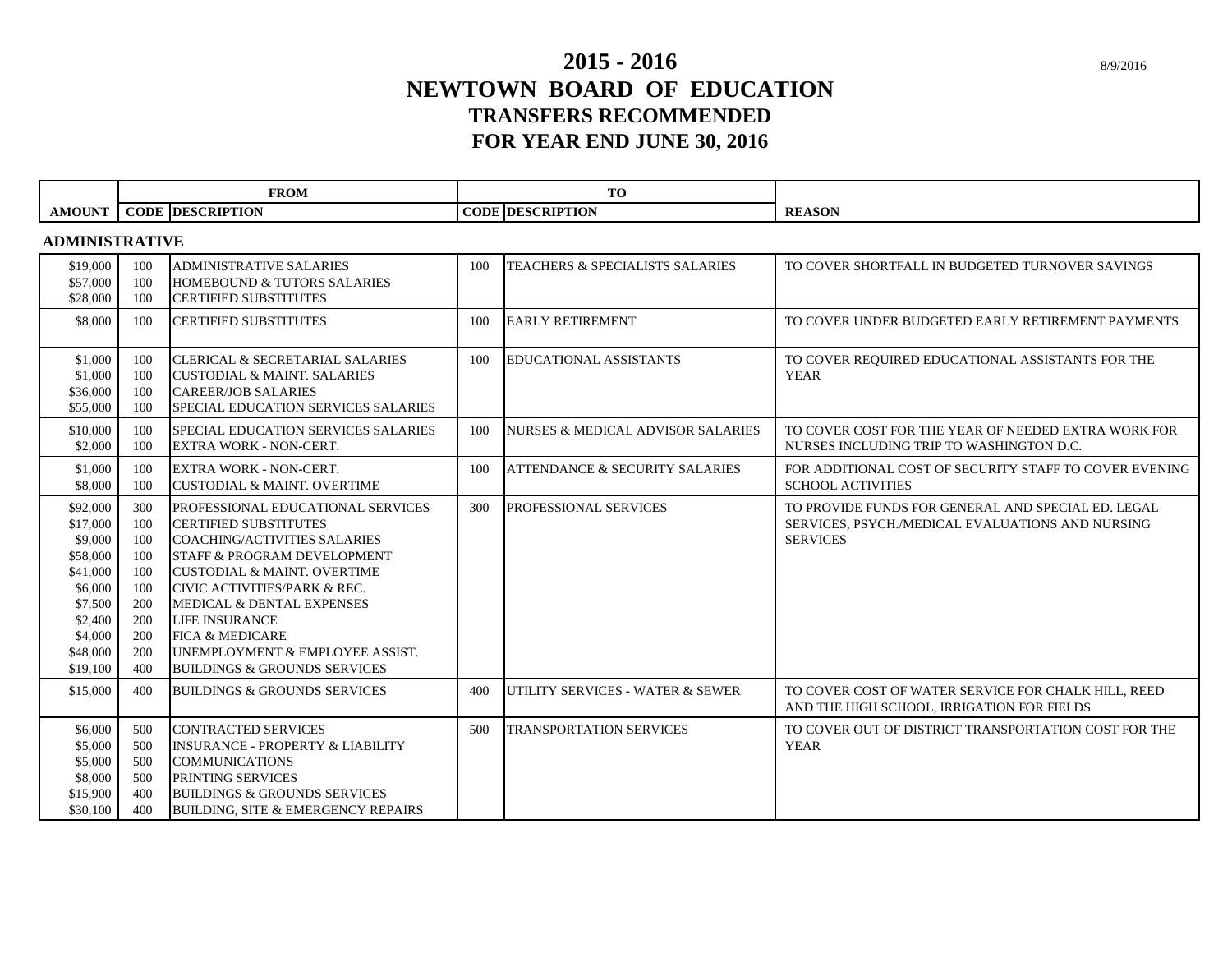# **NEWTOWN BOARD OF EDUCATION TRANSFERS RECOMMENDED 2015 - 2016 FOR YEAR END JUNE 30, 2016**

|                                                                                                                             | <b>FROM</b>                                                               |                                                                                                                                                                                                                                                                                                                                                                                     |     | TO                                           |                                                                                                                           |
|-----------------------------------------------------------------------------------------------------------------------------|---------------------------------------------------------------------------|-------------------------------------------------------------------------------------------------------------------------------------------------------------------------------------------------------------------------------------------------------------------------------------------------------------------------------------------------------------------------------------|-----|----------------------------------------------|---------------------------------------------------------------------------------------------------------------------------|
| <b>AMOUNT</b>                                                                                                               |                                                                           | <b>CODE DESCRIPTION</b>                                                                                                                                                                                                                                                                                                                                                             |     | <b>CODE DESCRIPTION</b>                      | <b>REASON</b>                                                                                                             |
| <b>ADMINISTRATIVE</b>                                                                                                       |                                                                           |                                                                                                                                                                                                                                                                                                                                                                                     |     |                                              |                                                                                                                           |
| \$19,000<br>\$57,000<br>\$28,000                                                                                            | 100<br>100<br>100                                                         | <b>ADMINISTRATIVE SALARIES</b><br><b>HOMEBOUND &amp; TUTORS SALARIES</b><br><b>CERTIFIED SUBSTITUTES</b>                                                                                                                                                                                                                                                                            | 100 | <b>TEACHERS &amp; SPECIALISTS SALARIES</b>   | TO COVER SHORTFALL IN BUDGETED TURNOVER SAVINGS                                                                           |
| \$8,000                                                                                                                     | 100                                                                       | <b>CERTIFIED SUBSTITUTES</b>                                                                                                                                                                                                                                                                                                                                                        | 100 | <b>EARLY RETIREMENT</b>                      | TO COVER UNDER BUDGETED EARLY RETIREMENT PAYMENTS                                                                         |
| \$1,000<br>\$1,000<br>\$36,000<br>\$55,000                                                                                  | 100<br>100<br>100<br>100                                                  | <b>CLERICAL &amp; SECRETARIAL SALARIES</b><br><b>CUSTODIAL &amp; MAINT. SALARIES</b><br><b>CAREER/JOB SALARIES</b><br>SPECIAL EDUCATION SERVICES SALARIES                                                                                                                                                                                                                           | 100 | <b>EDUCATIONAL ASSISTANTS</b>                | TO COVER REQUIRED EDUCATIONAL ASSISTANTS FOR THE<br><b>YEAR</b>                                                           |
| \$10,000<br>\$2,000                                                                                                         | 100<br>100                                                                | SPECIAL EDUCATION SERVICES SALARIES<br><b>EXTRA WORK - NON-CERT.</b>                                                                                                                                                                                                                                                                                                                | 100 | <b>NURSES &amp; MEDICAL ADVISOR SALARIES</b> | TO COVER COST FOR THE YEAR OF NEEDED EXTRA WORK FOR<br>NURSES INCLUDING TRIP TO WASHINGTON D.C.                           |
| \$1,000<br>\$8,000                                                                                                          | 100<br>100                                                                | <b>EXTRA WORK - NON-CERT.</b><br><b>CUSTODIAL &amp; MAINT. OVERTIME</b>                                                                                                                                                                                                                                                                                                             | 100 | <b>ATTENDANCE &amp; SECURITY SALARIES</b>    | FOR ADDITIONAL COST OF SECURITY STAFF TO COVER EVENING<br><b>SCHOOL ACTIVITIES</b>                                        |
| \$92,000<br>\$17,000<br>\$9,000<br>\$58,000<br>\$41,000<br>\$6,000<br>\$7,500<br>\$2,400<br>\$4,000<br>\$48,000<br>\$19,100 | 300<br>100<br>100<br>100<br>100<br>100<br>200<br>200<br>200<br>200<br>400 | PROFESSIONAL EDUCATIONAL SERVICES<br><b>CERTIFIED SUBSTITUTES</b><br><b>COACHING/ACTIVITIES SALARIES</b><br>STAFF & PROGRAM DEVELOPMENT<br><b>CUSTODIAL &amp; MAINT. OVERTIME</b><br>CIVIC ACTIVITIES/PARK & REC.<br>MEDICAL & DENTAL EXPENSES<br><b>LIFE INSURANCE</b><br><b>FICA &amp; MEDICARE</b><br>UNEMPLOYMENT & EMPLOYEE ASSIST.<br><b>BUILDINGS &amp; GROUNDS SERVICES</b> | 300 | PROFESSIONAL SERVICES                        | TO PROVIDE FUNDS FOR GENERAL AND SPECIAL ED. LEGAL<br>SERVICES, PSYCH./MEDICAL EVALUATIONS AND NURSING<br><b>SERVICES</b> |
| \$15,000                                                                                                                    | 400                                                                       | <b>BUILDINGS &amp; GROUNDS SERVICES</b>                                                                                                                                                                                                                                                                                                                                             | 400 | UTILITY SERVICES - WATER & SEWER             | TO COVER COST OF WATER SERVICE FOR CHALK HILL, REED<br>AND THE HIGH SCHOOL, IRRIGATION FOR FIELDS                         |
| \$6,000<br>\$5,000<br>\$5,000<br>\$8,000<br>\$15,900<br>\$30,100                                                            | 500<br>500<br>500<br>500<br>400<br>400                                    | <b>CONTRACTED SERVICES</b><br><b>INSURANCE - PROPERTY &amp; LIABILITY</b><br><b>COMMUNICATIONS</b><br>PRINTING SERVICES<br><b>BUILDINGS &amp; GROUNDS SERVICES</b><br><b>BUILDING, SITE &amp; EMERGENCY REPAIRS</b>                                                                                                                                                                 | 500 | <b>TRANSPORTATION SERVICES</b>               | TO COVER OUT OF DISTRICT TRANSPORTATION COST FOR THE<br><b>YEAR</b>                                                       |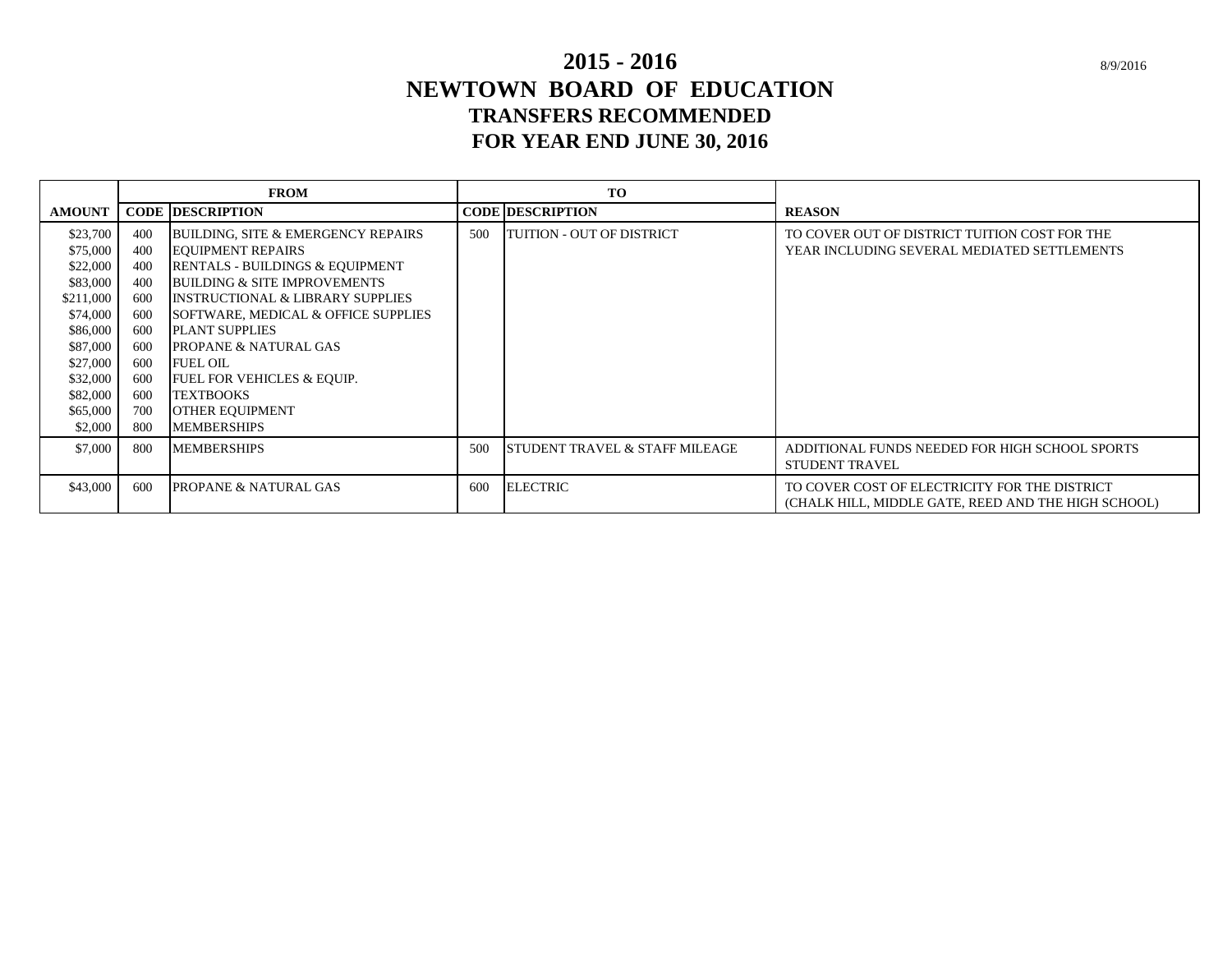# **NEWTOWN BOARD OF EDUCATION TRANSFERS RECOMMENDED 2015 - 2016 FOR YEAR END JUNE 30, 2016**

|               | <b>FROM</b> |                                               |     | TO                                        |                                                     |
|---------------|-------------|-----------------------------------------------|-----|-------------------------------------------|-----------------------------------------------------|
| <b>AMOUNT</b> |             | <b>CODE DESCRIPTION</b>                       |     | <b>CODE DESCRIPTION</b>                   | <b>REASON</b>                                       |
| \$23,700      | 400         | <b>BUILDING, SITE &amp; EMERGENCY REPAIRS</b> | 500 | <b>TUITION - OUT OF DISTRICT</b>          | TO COVER OUT OF DISTRICT TUITION COST FOR THE       |
| \$75,000      | 400         | <b>EQUIPMENT REPAIRS</b>                      |     |                                           | YEAR INCLUDING SEVERAL MEDIATED SETTLEMENTS         |
| \$22,000      | 400         | RENTALS - BUILDINGS & EQUIPMENT               |     |                                           |                                                     |
| \$83,000      | 400         | <b>BUILDING &amp; SITE IMPROVEMENTS</b>       |     |                                           |                                                     |
| \$211,000     | 600         | <b>INSTRUCTIONAL &amp; LIBRARY SUPPLIES</b>   |     |                                           |                                                     |
| \$74,000      | 600         | SOFTWARE, MEDICAL & OFFICE SUPPLIES           |     |                                           |                                                     |
| \$86,000      | 600         | <b>PLANT SUPPLIES</b>                         |     |                                           |                                                     |
| \$87,000      | 600         | <b>PROPANE &amp; NATURAL GAS</b>              |     |                                           |                                                     |
| \$27,000      | 600         | <b>FUEL OIL</b>                               |     |                                           |                                                     |
| \$32,000      | 600         | <b>FUEL FOR VEHICLES &amp; EQUIP.</b>         |     |                                           |                                                     |
| \$82,000      | 600         | <b>TEXTBOOKS</b>                              |     |                                           |                                                     |
| \$65,000      | 700         | <b>OTHER EQUIPMENT</b>                        |     |                                           |                                                     |
| \$2,000       | 800         | <b>MEMBERSHIPS</b>                            |     |                                           |                                                     |
| \$7,000       | 800         | <b>MEMBERSHIPS</b>                            | 500 | <b>STUDENT TRAVEL &amp; STAFF MILEAGE</b> | ADDITIONAL FUNDS NEEDED FOR HIGH SCHOOL SPORTS      |
|               |             |                                               |     |                                           | <b>STUDENT TRAVEL</b>                               |
| \$43,000      | 600         | <b>PROPANE &amp; NATURAL GAS</b>              | 600 | <b>ELECTRIC</b>                           | TO COVER COST OF ELECTRICITY FOR THE DISTRICT       |
|               |             |                                               |     |                                           | (CHALK HILL, MIDDLE GATE, REED AND THE HIGH SCHOOL) |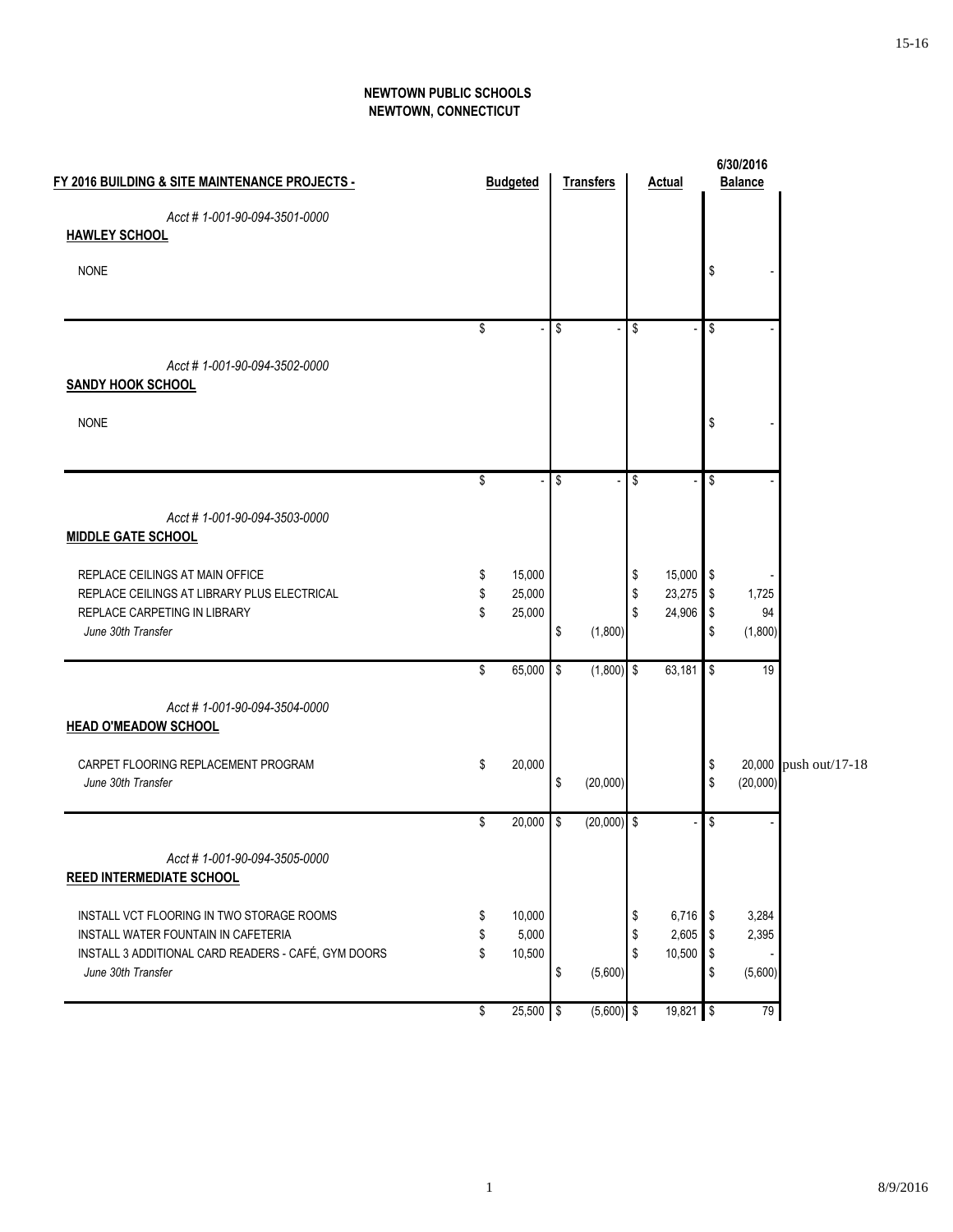#### **NEWTOWN PUBLIC SCHOOLS NEWTOWN, CONNECTICUT**

| FY 2016 BUILDING & SITE MAINTENANCE PROJECTS -                                 |          | <b>Budgeted</b>  |            | <b>Transfers</b> |          | <b>Actual</b>    |                           | 6/30/2016<br><b>Balance</b> |                       |
|--------------------------------------------------------------------------------|----------|------------------|------------|------------------|----------|------------------|---------------------------|-----------------------------|-----------------------|
| Acct #1-001-90-094-3501-0000                                                   |          |                  |            |                  |          |                  |                           |                             |                       |
| <b>HAWLEY SCHOOL</b>                                                           |          |                  |            |                  |          |                  |                           |                             |                       |
| <b>NONE</b>                                                                    |          |                  |            |                  |          |                  | \$                        |                             |                       |
|                                                                                |          |                  |            |                  |          |                  |                           |                             |                       |
|                                                                                | \$       |                  | \$         |                  | \$       |                  | \$                        |                             |                       |
| Acct #1-001-90-094-3502-0000                                                   |          |                  |            |                  |          |                  |                           |                             |                       |
| <b>SANDY HOOK SCHOOL</b>                                                       |          |                  |            |                  |          |                  |                           |                             |                       |
| <b>NONE</b>                                                                    |          |                  |            |                  |          |                  | \$                        |                             |                       |
|                                                                                |          |                  |            |                  |          |                  |                           |                             |                       |
|                                                                                | \$       |                  | \$         |                  | \$       |                  | \$                        |                             |                       |
| Acct #1-001-90-094-3503-0000<br><b>MIDDLE GATE SCHOOL</b>                      |          |                  |            |                  |          |                  |                           |                             |                       |
|                                                                                |          |                  |            |                  |          |                  |                           |                             |                       |
| REPLACE CEILINGS AT MAIN OFFICE<br>REPLACE CEILINGS AT LIBRARY PLUS ELECTRICAL | \$<br>\$ | 15,000<br>25,000 |            |                  | \$<br>\$ | 15,000<br>23,275 | l \$<br>$\boldsymbol{\$}$ | 1,725                       |                       |
| REPLACE CARPETING IN LIBRARY                                                   | \$       | 25,000           |            |                  | \$       | 24,906           | $\sqrt{3}$                | 94                          |                       |
| June 30th Transfer                                                             |          |                  | \$         | (1,800)          |          |                  | \$                        | (1,800)                     |                       |
|                                                                                | \$       | 65,000           | \$         | $(1,800)$ \$     |          | 63,181           | \$                        | 19                          |                       |
| Acct #1-001-90-094-3504-0000<br><b>HEAD O'MEADOW SCHOOL</b>                    |          |                  |            |                  |          |                  |                           |                             |                       |
| CARPET FLOORING REPLACEMENT PROGRAM                                            | \$       | 20,000           |            |                  |          |                  | \$                        |                             | 20,000 push out/17-18 |
| June 30th Transfer                                                             |          |                  | \$         | (20,000)         |          |                  | \$                        | (20,000)                    |                       |
|                                                                                | \$       | 20,000           | $\sqrt{3}$ | $(20,000)$ \$    |          |                  | \$                        |                             |                       |
| Acct #1-001-90-094-3505-0000<br><b>REED INTERMEDIATE SCHOOL</b>                |          |                  |            |                  |          |                  |                           |                             |                       |
| INSTALL VCT FLOORING IN TWO STORAGE ROOMS                                      | \$       | 10,000           |            |                  | \$       | 6,716            | l \$                      | 3,284                       |                       |
| INSTALL WATER FOUNTAIN IN CAFETERIA                                            | S        | 5,000            |            |                  | \$       | 2,605            | \$                        | 2,395                       |                       |
| INSTALL 3 ADDITIONAL CARD READERS - CAFÉ, GYM DOORS                            | \$       | 10,500           |            |                  | \$       | 10,500           | $\sqrt{3}$                |                             |                       |
| June 30th Transfer                                                             |          |                  | \$         | (5,600)          |          |                  | \$                        | (5,600)                     |                       |
|                                                                                | \$       | $25,500$ \$      |            | $(5,600)$ \$     |          | $19,821$ \$      |                           | 79                          |                       |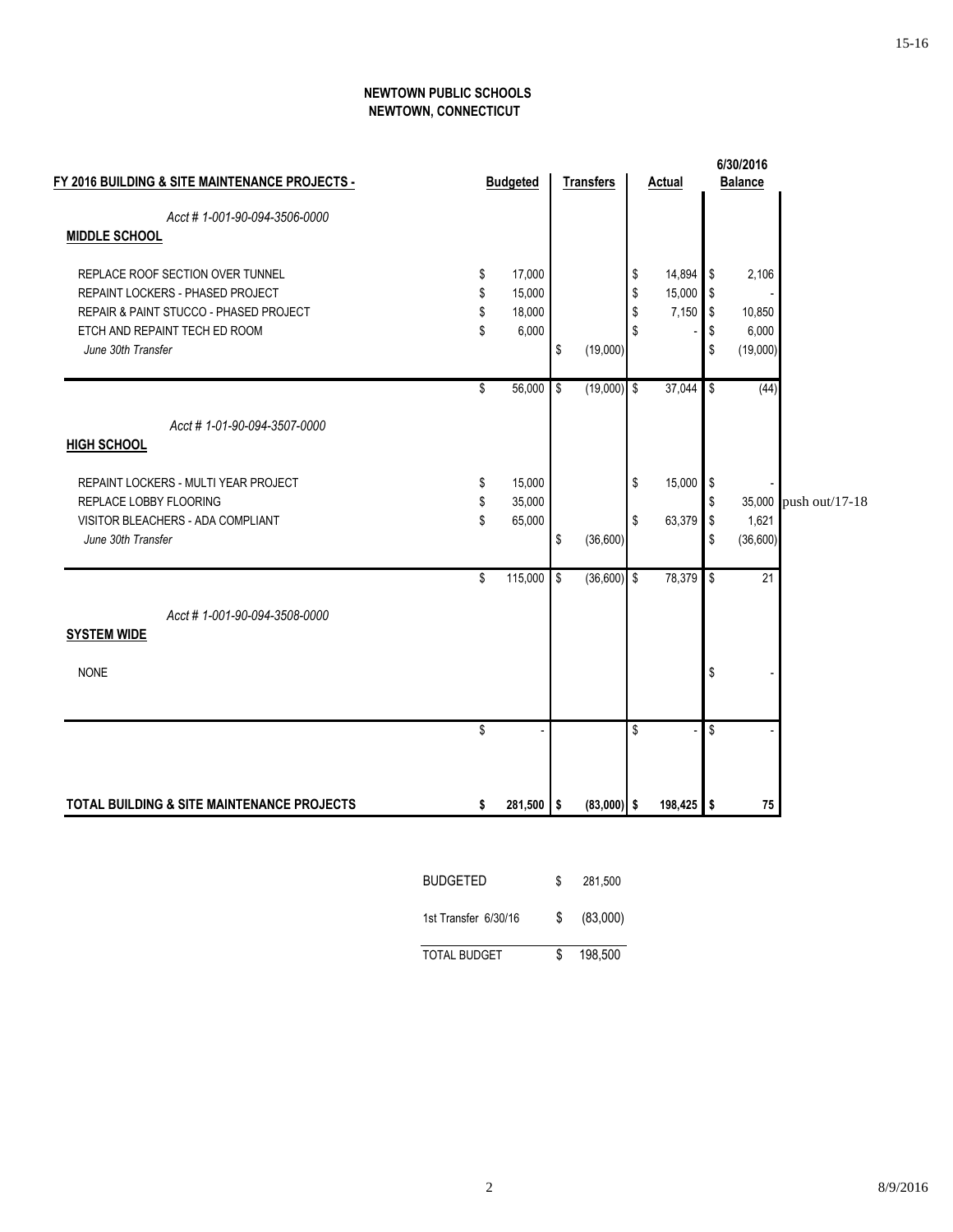#### **NEWTOWN PUBLIC SCHOOLS NEWTOWN, CONNECTICUT**

|                                                                                                                                                                                  |                      |                                     |            |                  |                      |                           |                            | 6/30/2016                            |                       |
|----------------------------------------------------------------------------------------------------------------------------------------------------------------------------------|----------------------|-------------------------------------|------------|------------------|----------------------|---------------------------|----------------------------|--------------------------------------|-----------------------|
| FY 2016 BUILDING & SITE MAINTENANCE PROJECTS -                                                                                                                                   |                      | <b>Budgeted</b>                     |            | <b>Transfers</b> |                      | <b>Actual</b>             |                            | <b>Balance</b>                       |                       |
| Acct #1-001-90-094-3506-0000<br><b>MIDDLE SCHOOL</b>                                                                                                                             |                      |                                     |            |                  |                      |                           |                            |                                      |                       |
| REPLACE ROOF SECTION OVER TUNNEL<br>REPAINT LOCKERS - PHASED PROJECT<br><b>REPAIR &amp; PAINT STUCCO - PHASED PROJECT</b><br>ETCH AND REPAINT TECH ED ROOM<br>June 30th Transfer | \$<br>\$<br>\$<br>\$ | 17,000<br>15,000<br>18,000<br>6,000 | \$         | (19,000)         | \$<br>\$<br>\$<br>\$ | 14,894<br>15,000<br>7,150 | \$<br>\$<br>\$<br>\$<br>\$ | 2,106<br>10,850<br>6,000<br>(19,000) |                       |
|                                                                                                                                                                                  | \$                   | 56,000                              | $\sqrt{2}$ | $(19,000)$ \$    |                      | 37,044                    | \$                         | (44)                                 |                       |
| Acct #1-01-90-094-3507-0000<br><b>HIGH SCHOOL</b>                                                                                                                                |                      |                                     |            |                  |                      |                           |                            |                                      |                       |
| REPAINT LOCKERS - MULTI YEAR PROJECT<br>REPLACE LOBBY FLOORING<br>VISITOR BLEACHERS - ADA COMPLIANT                                                                              | \$<br>\$<br>\$       | 15,000<br>35,000<br>65,000          |            |                  | \$<br>\$             | 15,000<br>63,379          | $\sqrt[6]{3}$<br>\$<br>\$  | 1,621                                | 35,000 push out/17-18 |
| June 30th Transfer                                                                                                                                                               |                      |                                     | \$         | (36, 600)        |                      |                           | \$                         | (36,600)                             |                       |
|                                                                                                                                                                                  | \$                   | 115,000                             | $\sqrt{2}$ | $(36,600)$ \$    |                      | 78,379                    | \$                         | 21                                   |                       |
| Acct #1-001-90-094-3508-0000<br><b>SYSTEM WIDE</b>                                                                                                                               |                      |                                     |            |                  |                      |                           |                            |                                      |                       |
| <b>NONE</b>                                                                                                                                                                      |                      |                                     |            |                  |                      |                           | \$                         |                                      |                       |
|                                                                                                                                                                                  | \$                   |                                     |            |                  | \$                   |                           | \$                         |                                      |                       |
| <b>TOTAL BUILDING &amp; SITE MAINTENANCE PROJECTS</b>                                                                                                                            | \$                   | $281,500$ \$                        |            | $(83,000)$ \$    |                      | $198,425$ \$              |                            | 75                                   |                       |
|                                                                                                                                                                                  | <b>BUDGETED</b>      |                                     | \$         | 281,500          |                      |                           |                            |                                      |                       |

| 1st Transfer 6/30/16 | S. | (83,000) |
|----------------------|----|----------|
| <b>TOTAL BUDGET</b>  |    | 198,500  |